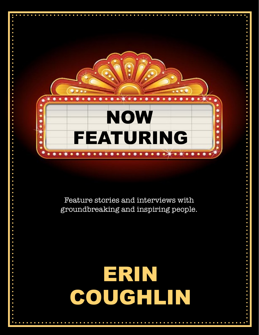

Feature stories and interviews with groundbreaking and inspiring people.

# ERIN COUGHLIN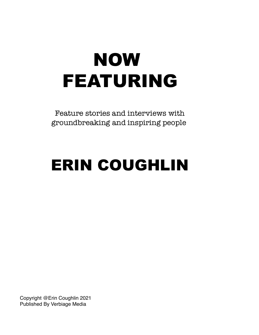## FEATURING NOW

Feature stories and interviews with groundbreaking and inspiring people.

## ERIN COUGHLIN

Copyright @Erin Coughlin 2021 Published By Verbiage Media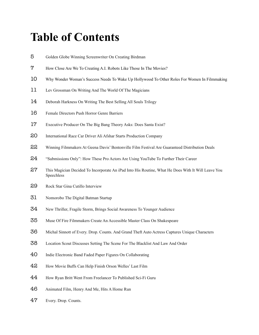## **Table of Contents**

- Golden Globe Winning Screenwriter On Creating Birdman
- How Close Are We To Creating A.I. Robots Like Those In The Movies?
- Why Wonder Woman's Success Needs To Wake Up Hollywood To Other Roles For Women In Filmmaking
- 11 Lev Grossman On Writing And The World Of The Magicians
- 14 Deborah Harkness On Writing The Best Selling All Souls Trilogy
- Female Directors Push Horror Genre Barriers
- Executive Producer On The Big Bang Theory Asks: Does Santa Exist?
- 20 International Race Car Driver Ali Afshar Starts Production Company
- Winning Filmmakers At Geena Davis' Bentonville Film Festival Are Guaranteed Distribution Deals
- 24 "Submissions Only": How These Pro Actors Are Using YouTube To Further Their Career
- This Magician Decided To Incorporate An iPad Into His Routine, What He Does With It Will Leave You Speechless
- Rock Star Gina Cutillo Interview
- Nomorobo The Digital Batman Startup
- New Thriller, Fragile Storm, Brings Social Awareness To Younger Audience
- Muse Of Fire Filmmakers Create An Accessible Master Class On Shakespeare
- Michal Sinnott of Every. Drop. Counts. And Grand Theft Auto Actress Captures Unique Characters
- Location Scout Discusses Setting The Scene For The Blacklist And Law And Order
- Indie Electronic Band Faded Paper Figures On Collaborating
- How Movie Buffs Can Help Finish Orson Welles' Last Film
- How Ryan Britt Went From Freelancer To Published Sci-Fi Guru
- Animated Film, Henry And Me, Hits A Home Run
- Every. Drop. Counts.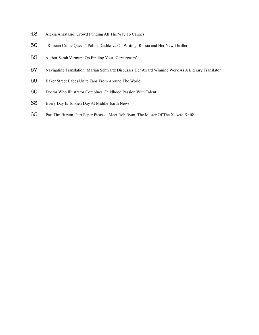- Alexia Anastasio: Crowd Funding All The Way To Cannes
- "Russian Crime Queen" Polina Dashkova On Writing, Russia and Her New Thriller
- Author Sarah Vermunt On Finding Your 'Careergasm'
- Navigating Translation: Marian Schwartz Discusses Her Award Winning Work As A Literary Translator
- Baker Street Babes Unite Fans From Around The World
- Doctor Who Illustrator Combines Childhood Passion With Talent
- Every Day Is Tolkien Day At Middle-Earth News
- Part Tim Burton, Part Paper Picasso, Meet Rob Ryan, The Master Of The X-Acto Knife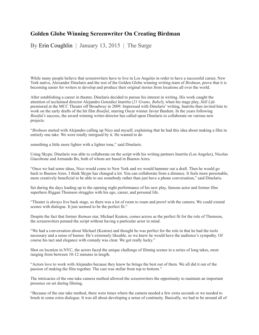#### **Golden Globe Winning Screenwriter On Creating Birdman**

By Erin Coughlin | January 13, 2015 | The Surge

While many people believe that screenwriters have to live in Los Angeles in order to have a successful career, New York native, Alexander Dinelaris and the rest of the Golden Globe winning writing team of *Birdman*, prove that it is becoming easier for writers to develop and produce their original stories from locations all over the world.

After establishing a career in theater, Dinelaris decided to pursue his interest in writing. His work caught the attention of acclaimed director Alejandro González Inarritu (*21 Grams, Babel*), when his stage play, *Still Life*  premiered at the MCC Theater off Broadway in 2009. Impressed with Dinelaris' writing, Inarritu then invited him to work on the early drafts of the hit film *Biutiful*, starring Oscar winner Javier Bardem. In the years following *Biutiful's* success, the award winning writer-director has called upon Dinelaris to collaborate on various new projects.

"*Birdman* started with Alejandro calling up Nico and myself, explaining that he had this idea about making a film in entirely one take. We were totally intrigued by it. He wanted to do

something a little more lighter with a lighter tone," said Dinelaris.

Using Skype, Dinelaris was able to collaborate on the script with his writing partners Inarritu (Los Angeles), Nicolas Giacobone and Armando Bo, both of whom are based in Buenos Aires.

"Once we had some ideas, Nico would come to New York and we would hammer out a draft. Then he would go back to Buenos Aires. I think Skype has changed a lot. You can collaborate from a distance. It feels more personable, more creatively beneficial to be able to see somebody rather than just have a phone conversation," said Dinelaris.

Set during the days leading up to the opening night performance of his new play, famous actor and former film superhero Riggan Thomson struggles with his ego, career, and personal life.

"Theater is always live back stage, so there was a lot of room to roam and prowl with the camera. We could extend scenes with dialogue. It just seemed to be the perfect fit."

Despite the fact that former *Batman* star, Michael Keaton, comes across as the perfect fit for the role of Thomson, the screenwriters penned the script without having a particular actor in mind.

"We had a conversation about Michael (Keaton) and thought he was perfect for the role in that he had the tools necessary and a sense of humor. He's extremely likeable, so we knew he would have the audience's sympathy. Of course his tact and elegance with comedy was clear. We got really lucky."

Shot on location in NYC, the actors faced the unique challenge of filming scenes in a series of long takes, most ranging from between 10-12 minutes in length.

"Actors love to work with Alejandro because they know he brings the best out of them. We all did it out of the passion of making the film together. The cast was stellar from top to bottom."

The intricacies of the one-take camera method allowed the screenwriters the opportunity to maintain an important presence on set during filming.

"Because of the one take method, there were times where the camera needed a few extra seconds or we needed to brush in some extra dialogue. It was all about developing a sense of continuity. Basically, we had to be around all of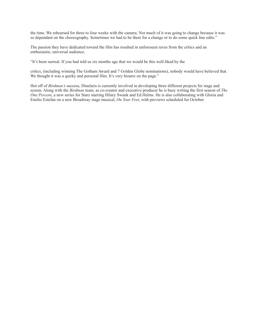the time. We rehearsed for three to four weeks with the camera. Not much of it was going to change because it was so dependant on the choreography. Sometimes we had to be there for a change or to do some quick line edits."

The passion they have dedicated toward the film has resulted in unforeseen raves from the critics and an enthusiastic, universal audience.

"It's been surreal. If you had told us six months ago that we would be this well-liked by the

critics, (including winning The Gotham Award and 7 Golden Globe nominations), nobody would have believed that. We thought it was a quirky and personal film. It's very bizarre on the page."

Hot off of *Birdman's* success, Dinelaris is currently involved in developing three different projects for stage and screen. Along with the *Birdman* team, as co-creator and executive producer he is busy writing the first season of *The One Percent*, a new series for Starz starring Hilary Swank and Ed Helms. He is also collaborating with Gloria and Emilio Estefan on a new Broadway stage musical, *On Your Feet*, with previews scheduled for October.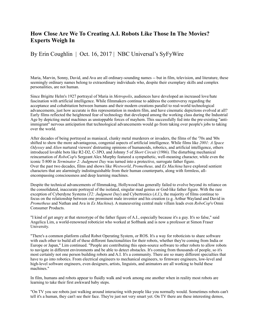## **How Close Are We To Creating A.I. Robots Like Those In The Movies? Experts Weigh In**

#### By Erin Coughlin | Oct. 16, 2017 | NBC Universal's SyFyWire

Maria, Marvin, Sonny, David, and Ava are all ordinary-sounding names -- but in film, television, and literature, these seemingly ordinary names belong to extraordinary individuals who, despite their exemplary skills and complex personalities, are not human.

Since Brigitte Helm's 1927 portrayal of Maria in *Metropolis*, audiences have developed an increased love/hate fascination with artificial intelligence. While filmmakers continue to address the controversy regarding the acceptance and cohabitation between humans and their modern creations parallel to real-world technological advancements, just how accurate is this representation in modern film, and have cinematic depictions evolved at all? Early films reflected the heightened fear of technology that developed among the working class during the Industrial Age by depicting metal machines as unstoppable forces of mayhem. This successfully fed into the pre-existing "antiimmigrant" nervous anticipation that technological advancements would go from taking over people's jobs to taking over the world.

After decades of being portrayed as maniacal, clunky metal murderers or invaders, the films of the '70s and '80s shifted to show the more advantageous, congenial aspects of artificial intelligence. While films like *2001: A Space Odyssey* and *Alien* nurtured viewers' distrusting opinions of humanoids, robotics, and artificial intelligence, others introduced lovable bots like R2-D2, C-3PO, and Johnny 5 of *Short Circuit* (1986). The disturbing mechanical reincarnation of *RoboCop*'s Sergeant Alex Murphy featured a sympathetic, well-meaning character, while even the iconic T-800 in *Terminator 2: Judgment Day* was turned into a protective, surrogate father figure. Over the past two decades, films and shows like *Westworld*, *Prometheus,* and *Ex Machina* have explored sentient characters that are alarmingly indistinguishable from their human counterparts, along with formless, allencompassing consciousness and deep learning machines.

Despite the technical advancements of filmmaking, Hollywood has generally failed to evolve beyond its reliance on the consolidated, inaccurate portrayal of the isolated, singular mad genius or God-like father figure. With the rare exception of Cyberdyne Systems (*T2: Judgment Day*) and Cybertronics (*A.I.*), the majority of films continue to focus on the relationship between one prominent male inventor and his creation (e.g. Arthur Wayland and David in *Prometheus* and Nathan and Ava in *Ex Machina*). A maneuvering central male villain leads even *RoboCop*'s Omni Consumer Products.

"I kind of get angry at that stereotype of the father figure of A.I., especially because it's a guy. It's so false," said Angelica Lim, a world-renowned roboticist who worked at Softbank and is now a professor at Simon Fraser University.

"There's a common platform called Robot Operating System, or ROS. It's a way for roboticists to share software with each other to build all of these different functionalities for their robots, whether they're coming from India or Europe or Japan," Lim continued. "People are contributing this open-source software to other robots to allow robots to navigate in different environments and be able to detect obstacles. It's coming from thousands of people, so it's most certainly not one person building robots and A.I. It's a community. There are so many different specialties that have to go into robotics. From electrical engineers to mechanical engineers, to firmware engineers, low-level and high-level software engineers, even designers, artists, linguists, and animators are all working to build these machines."

In film, humans and robots appear to fluidly walk and work among one another when in reality most robots are learning to take their first awkward baby steps.

"On TV you see robots just walking around interacting with people like you normally would. Sometimes robots can't tell it's a human, they can't see their face. They're just not very smart yet. On TV there are these interesting demos,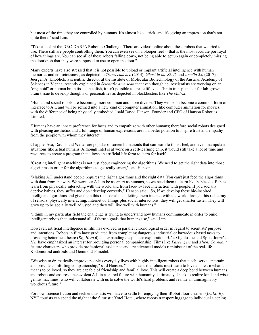but most of the time they are controlled by humans. It's almost like a trick, and it's giving an impression that's not quite there," said Lim.

"Take a look at the DRC-DARPA Robotics Challenge. There are videos online about these robots that we tried to use. There still are people controlling them. You can even see on a blooper reel -- that is the most accurate portrayal of how things are. You can see all of these robots falling down, not being able to get up again or completely missing the doorknob that they were supposed to use to open the door."

Many experts have also stressed that it is not possible to upload or implant artificial intelligence with human memories and consciousness, as depicted in *Transcendence* (2014), *Ghost in the Shell,* and *Amelia 2.0* (2017). Juergen A. Knoblich, a scientific director at the Institute of Molecular Biotechnology of the Austrian Academy of Sciences in Vienna, recently explained in *Scientific American* that even though neuroscientists are working on an "organoid" or human brain tissue in a dish, it isn't possible to create life via a "brain transplant" or for lab-grown brain tissue to develop thoughts or personalities as depicted in blockbusters like *The Matrix*.

"Humanoid social robots are becoming more common and more diverse. They will soon become a common form of interface to A.I. and will be refined into a new kind of computer animation, like computer animation for movies, with the difference of being physically embodied," said David Hanson, Founder and CEO of Hanson Robotics Limited.

"Humans have an innate preference for faces and to empathize with other humans; therefore social robots designed with pleasing aesthetics and a full range of human expressions are in a better position to inspire trust and empathy from the people with whom they interact."

Chappie, Ava, David, and Walter are popular onscreen humanoids that can learn to think, feel, and even manipulate situations like actual humans. Although Intel is at work on a self-learning chip, it would still take a lot of time and resources to create a program that allows an artificial life form to learn for itself.

"Creating intelligent machines is not just about engineering the algorithms. We need to get the right data into those algorithms in order for the algorithms to get really smart," said Hanson.

"Making A.I. understand people requires the right algorithms and the right data. You can't just feed the algorithms with data from the web. We want our A.I. to be as smart as humans, so we need them to learn like babies do. Babies learn from physically interacting with the world and from face-to- face interaction with people. If you socially deprive babies, they suffer and don't develop correctly," Hanson said. "So, if we develop these bio-inspired intelligent algorithms and give them this rich social data, letting them interact with the world through this rich array of sensors, physically interacting, Internet of Things plus social interactions, they will get smarter faster. They will grow up to be socially well adjusted and they will live well with humans."

"I think in my particular field the challenge is trying to understand how humans communicate in order to build intelligent robots that understand all of these signals that humans use," said Lim.

However, artificial intelligence in film has evolved in parallel chronological order in regard to scientists' purpose and intentions. Robots in film have graduated from completing dangerous industrial or hazardous based tasks to providing better healthcare (*Big Hero 6*) and expanding deep-space exploration. *A.I.*'s Gigolo Joe and Spike Jonze's *Her* have emphasized an interest for providing personal companionship. Films like *Passengers* and *Alien: Covenant* feature characters who provide professional assistance and are advanced models reminiscent of the real-life Kodomoroid androids and Geminoid-F model.

"We wish to dramatically improve people's everyday lives with highly intelligent robots that teach, serve, entertain, and provide comforting companionship," said Hanson. "This means the robots must learn to love and learn what it means to be loved, so they are capable of friendship and familial love. This will create a deep bond between humans and robots and assures a benevolent A.I. in a shared future with humanity. Ultimately, I seek to realize kind and wise genius machines, who will collaborate with us to solve the world's hard problems and realize an unimaginably wondrous future."

For now, science fiction and tech enthusiasts will have to settle for enjoying their iRobot floor cleaners (*WALL-E*). NYC tourists can spend the night at the futuristic Yotel Hotel, where robots transport luggage to individual sleeping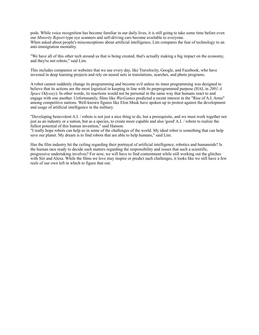pods. While voice recognition has become familiar in our daily lives, it is still going to take some time before even our *Minority Report-*type eye scanners and self-driving cars become available to everyone. When asked about people's misconceptions about artificial intelligence, Lim compares the fear of technology to an anti-immigration mentality.

"We have all of this other tech around us that is being created, that's actually making a big impact on the economy, and they're not robots," said Lim.

This includes companies or websites that we use every day, like Travelocity, Google, and Facebook, who have invested in deep learning projects and rely on neural nets in translations, searches, and photo programs.

A robot cannot suddenly change its programming and become evil unless its inner programming was designed to believe that its actions are the most logistical in keeping in line with its preprogrammed purpose (HAL in *2001:A Space Odyssey*). In other words, its reactions would not be personal in the same way that humans react to and engage with one another. Unfortunately, films like *WarGames* predicted a recent interest in the "Rise of A.I. Arms" among competitive nations. Well-known figures like Elon Musk have spoken up in protest against the development and usage of artificial intelligence in the military.

"Developing benevolent A.I. / robots is not just a nice thing to do, but a prerequisite, and we must work together not just as an industry or a nation, but as a species, to create more capable and also 'good' A.I. / robots to realize the fullest potential of this human invention," said Hanson.

"I really hope robots can help us in some of the challenges of the world. My ideal robot is something that can help save our planet. My dream is to find robots that are able to help humans," said Lim.

Has the film industry hit the ceiling regarding their portrayal of artificial intelligence, robotics and humanoids? Is the human race ready to decide such matters regarding the responsibility and issues that such a scientific, progressive undertaking involves? For now, we will have to find contentment while still working out the glitches with Siri and Alexa. While the films we love may inspire or predict such challenges, it looks like we still have a few reels of our own left in which to figure that out.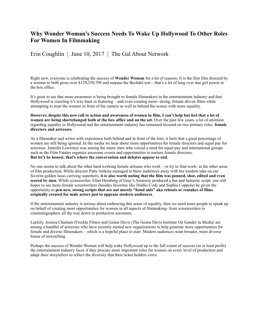#### **Why Wonder Woman's Success Needs To Wake Up Hollywood To Other Roles For Women In Filmmaking**

Erin Coughlin | June 10, 2017 | The Gal About Network

Right now, everyone is celebrating the success of **Wonder Woman** for a lot of reasons. It is the first film directed by a woman to both gross over \$129,350,709 and surpass the Bechdel test – that's a lot of long over due girl power at the box office.

It's great to see that more awareness is being brought to female filmmakers in the entertainment industry and that Hollywood is crawling it's way back to featuring – and even creating more- strong, female driven films while attempting to treat the women in front of the camera as well as behind the scenes with more equality.

**However, despite this new call to action and awareness of women in film, I can't help but feel that a lot of women are being shortchanged both at the box office and on the set.** Over the past few years, a lot of attention regarding equality in Hollywood and the entertainment industry has remained focused on two primary roles: **female directors and actresses.**

As a filmmaker and writer with experience both behind and in front of the lens, it feels that a great percentage of women are still being ignored. In the media we hear about more opportunities for female directors and equal pay for actresses. Jennifer Lawrence was among the many stars who voiced a need for equal pay and international groups such as the Film Fatales organize awesome events and opportunities to nurture female directors. **But let's be honest, that's where the conversation and debates appear to end.**

No one seems to talk about the other hard working female artisans who work – or try to find work- in the other areas of film production. While director Patty Jenkins managed to blow audiences away with her modern take on our favorite golden lasso carrying superhero, **it is also worth noting that the film was penned, shot, edited and even scored by men**. While screenwriter Allan Heinberg of Gray's Anatomy produced a fun and fantastic script, one still hopes to see more female screenwriters (besides favorites like Diablo Cody and Sophia Coppola) be given the opportunity to **pen new, strong scripts that are not merely "band aids" aka reboots or remakes of films originally created for male actors just to appease modern audiences**.

If the entertainment industry is serious about embracing this sense of equality, then we need more people to speak up on behalf of creating more opportunities for women in all aspects of filmmaking- from screenwriters to cinematographers all the way down to production assistants.

Luckily, Jessica Chastain (Freckle Films) and Geena Davis (The Geena Davis Institute On Gender in Media) are among a handful of actresses who have recently started new organizations to help generate more opportunities for female and diverse filmmakers – which is a hopeful place to start. Modern audiences want broader, more diverse forms of storytelling.

Perhaps the success of Wonder Woman will help wake Hollywood up to the full extent of success (or at least profit) the entertainment industry faces if they procure more important roles for women on every level of production and adapt their storytellers to reflect the diversity that their ticket holders crave.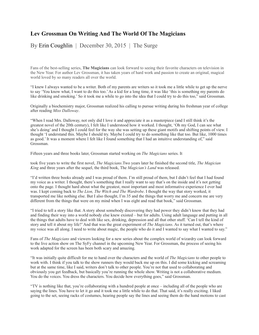## **Lev Grossman On Writing And The World Of The Magicians**

By Erin Coughlin | December 30, 2015 | The Surge

Fans of the best-selling series, **The Magicians** can look forward to seeing their favorite characters on television in the New Year. For author Lev Grossman, it has taken years of hard work and passion to create an original, magical world loved by so many readers all over the world.

"I knew I always wanted to be a writer. Both of my parents are writers so it took me a little while to get up the nerve to say 'You know what, I want to do this too.' As a kid for a long time, it was like 'this is something my parents do like drinking and smoking.' So it took me a while to go into the idea that I could try to do this too," said Grossman.

Originally a biochemistry major, Grossman realized his calling to pursue writing during his freshman year of college after reading *Miss Dalloway*.

"When I read Mrs. Dalloway, not only did I love it and appreciate it as a masterpiece (and I still think it's the greatest novel of the 20th century), I felt like I understood how it worked. I thought, 'Oh my God, I can see what she's doing' and I thought I could feel for the way she was setting up these giant motifs and shifting points of view. I thought 'I understand this. Maybe I should try. Maybe I could try to do something like that too. But like, 1000 times as good.' It was a moment where I felt like I found something that I had an intuitive understanding of," said Grossman.

Fifteen years and three books later, Grossman started working on *The Magicians* series. It

took five years to write the first novel, *The Magicians*.Two years later he finished the second title, *The Magician King* and three years after the sequel, the third book, The *Magician's Land* was released.

"I'd written three books already and I was proud of them. I'm still proud of them, but I didn't feel that I had found my voice as a writer. I thought, there's something that I really want to say that's on the inside and it's not getting onto the page. I thought hard about what the greatest, most important and most informative experience I ever had was. I kept coming back to *The Lion, The Witch and The Wardrobe*. I thought the way that story worked, it transported me like nothing else. But I also thought, I'm 35 and the things that worry me and concern me are very different from the things that were on my mind when I was eight and read that book," said Grossman.

"I tried to tell a story like that. A story about somebody discovering they had power they didn't know that they had and finding their way into a world nobody else knew existed – but for adults. Using adult language and putting in all the things that adults have to deal with like sex, drinking, depression and all that other stuff. 'Can I tell the kind of story and tell it about my life?' And that was the great experiment of *The Magicians*. As it turned out, that's where my voice was all along. I need to write about magic, the people who do it and I wanted to say what I wanted to say."

Fans of *The Magicians* and viewers looking for a new series about the complex world of wizardry can look forward to the live action show on The SyFy channel in the upcoming New Year. For Grossman, the process of seeing his work adapted for the screen has been both scary and amazing.

"It was initially quite difficult for me to hand over the characters and the world of *The Magicians* to other people to work with. I think if you talk to the show runners they would back me up on this. I did some kicking and screaming but at the same time, like I said, writers don't talk to other people. You're not that used to collaborating and obviously you get feedback, but basically you're running the whole show. Writing is not a collaborative medium. You do the voices. You dress the characters. You decide how everything goes," said Grossman.

"TV is nothing like that, you're collaborating with a hundred people at once – including all of the people who are saying the lines. You have to let it go and it took me a little while to do that. That said, it's really exciting. I liked going to the set, seeing racks of costumes, hearing people say the lines and seeing them do the hand motions to cast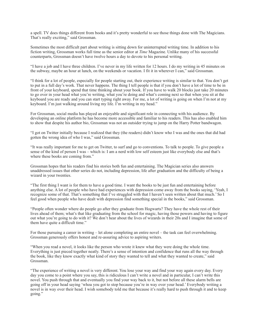a spell. TV does things different from books and it's pretty wonderful to see those things done with The Magicians. That's really exciting," said Grossman.

Sometimes the most difficult part about writing is sitting down for uninterrupted writing time. In addition to his fiction writing, Grossman works full time as the senior editor at *Time* Magazine. Unlike many of his successful counterparts, Grossman doesn't have twelve hours a day to devote to his personal writing.

"I have a job and I have three children. I've never in my life written for 12 hours. I do my writing in 45 minutes on the subway, maybe an hour at lunch, on the weekends or vacation. I fit it in wherever I can," said Grossman.

"I think for a lot of people, especially for people starting out, their experience writing is similar to that. You don't get to put in a full day's work. That never happens. The thing I tell people is that if you don't have a lot of time to be in front of your keyboard, spend that time thinking about your book. If you have to walk 20 blocks just take 20 minutes to go over in your head what you're writing, what you're doing and what's coming next so that when you sit at the keyboard you are ready and you can start typing right away. For me, a lot of writing is going on when I'm not at my keyboard. I'm just walking around living my life. I'm writing in my head."

For Grossman, social media has played an enjoyable and significant role in connecting with his audience. By developing an online platform he has become more accessible and familiar to his readers. This has also enabled him to show that despite his author bio, Grossman was not an outsider trying to jump on the Harry Potter bandwagon.

"I got on Twitter initially because I realized that they (the readers) didn't know who I was and the ones that did had gotten the wrong idea of who I was," said Grossman.

"It was really important for me to get on Twitter, to surf and go to conventions. To talk to people. To give people a sense of the kind of person I was – which is: I am a nerd with low self esteem just like everybody else and that's where these books are coming from."

Grossman hopes that his readers find his stories both fun and entertaining. The Magician series also answers unaddressed issues that other series do not, including depression, life after graduation and the difficulty of being a wizard in your twenties.

"The first thing I want is for them to have a good time. I want the books to be just fun and entertaining before anything else. A lot of people who have had experiences with depression come away from the books saying, 'Yeah, I recognize some of that. That's something that I've struggled with that I haven't seen written about that much.' So I feel good when people who have dealt with depression find something special in the books," said Grossman.

"People often wonder where do people go after they graduate from Hogwarts? They have the whole rest of their lives ahead of them; what's that like graduating from the school for magic, having those powers and having to figure out what you're going to do with it? We don't hear about the lives of wizards in their 20s and I imagine that some of them have quite a difficult time."

For those pursuing a career in writing – let alone completing an entire novel – the task can feel overwhelming. Grossman generously offers honest and re-assuring advice to aspiring writers.

"When you read a novel, it looks like the person who wrote it knew what they were doing the whole time. Everything is just pieced together neatly. There's a sense of intention and confidence that runs all the way through the book, like they know exactly what kind of story they wanted to tell and what they wanted to create," said Grossman.

"The experience of writing a novel is very different. You lose your way and find your way again every day. Every day you come to a point where you say, this is ridiculous I can't write a novel and in particular, I can't write this novel. You push through that and eventually you find your way back to it, but not before all these alarm bells are going off in your head saying 'whoa you got to stop because you're in way over your head.' Everybody writing a novel is in way over their head. I wish somebody told me that because it's really hard to push through it and to keep going."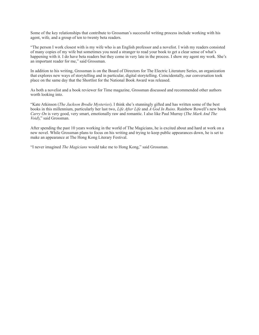Some of the key relationships that contribute to Grossman's successful writing process include working with his agent, wife, and a group of ten to twenty beta readers.

"The person I work closest with is my wife who is an English professor and a novelist. I wish my readers consisted of many copies of my wife but sometimes you need a stranger to read your book to get a clear sense of what's happening with it. I do have beta readers but they come in very late in the process. I show my agent my work. She's an important reader for me," said Grossman.

In addition to his writing, Grossman is on the Board of Directors for The Electric Literature Series, an organization that explores new ways of storytelling and in particular, digital storytelling. Coincidentally, our conversation took place on the same day that the Shortlist for the National Book Award was released.

As both a novelist and a book reviewer for Time magazine, Grossman discussed and recommended other authors worth looking into.

"Kate Atkinson (*The Jackson Brodie Mysteries*). I think she's stunningly gifted and has written some of the best books in this millennium, particularly her last two, *Life After Life* and *A God In Ruins*. Rainbow Rowell's new book *Carry On* is very good, very smart, emotionally raw and romantic. I also like Paul Murray (*The Mark And The Void*)," said Grossman.

After spending the past 10 years working in the world of The Magicians, he is excited about and hard at work on a new novel. While Grossman plans to focus on his writing and trying to keep public appearances down, he is set to make an appearance at The Hong Kong Literary Festival.

"I never imagined *The Magicians* would take me to Hong Kong," said Grossman.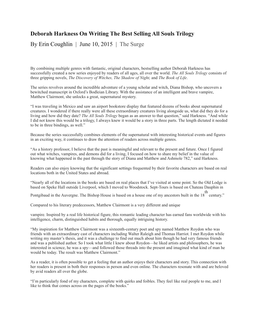## **Deborah Harkness On Writing The Best Selling All Souls Trilogy**

By Erin Coughlin | June 10, 2015 | The Surge

By combining multiple genres with fantastic, original characters, bestselling author Deborah Harkness has successfully created a new series enjoyed by readers of all ages, all over the world. *The All Souls Trilogy* consists of three gripping novels, *The Discovery of Witches, The Shadow of Night,* and *The Book of Life*.

The series revolves around the incredible adventure of a young scholar and witch, Diana Bishop, who uncovers a bewitched manuscript in Oxford's Bodleian Library. With the assistance of an intelligent and brave vampire, Matthew Clairmont, she unlocks a great, supernatural mystery.

"I was traveling in Mexico and saw an airport bookstore display that featured dozens of books about supernatural creatures. I wondered if there really were all these extraordinary creatures living alongside us, what did they do for a living and how did they date? *The All Souls Trilogy* began as an answer to that question," said Harkness. "And while I did not know this would be a trilogy, I always knew it would be a story in three parts. The length dictated it needed to be in three bindings, as well."

Because the series successfully combines elements of the supernatural with interesting historical events and figures in an exciting way, it continues to draw the attention of readers across multiple genres.

"As a history professor, I believe that the past is meaningful and relevant to the present and future. Once I figured out what witches, vampires, and demons did for a living, I focused on how to share my belief in the value of knowing what happened in the past through the story of Diana and Matthew and Ashmole 782," said Harkness.

Readers can also enjoy knowing that the significant settings frequented by their favorite characters are based on real locations both in the United States and abroad.

"Nearly all of the locations in the books are based on real places that I've visited at some point. So the Old Lodge is based on Speke Hall outside Liverpool, which I moved to Woodstock. Sept-Tours is based on Chateau Dauphin in

Pontgibaud in the Auvergne. The Bishop House is based on a house one of my ancestors built in the 18 th century."

Compared to his literary predecessors, Matthew Clairmont is a very different and unique

vampire. Inspired by a real life historical figure, this romantic leading character has earned fans worldwide with his intelligence, charm, distinguished habits and thorough, equally intriguing history.

"My inspiration for Matthew Clairmont was a sixteenth-century poet and spy named Matthew Roydon who was friends with an extraordinary cast of characters including Walter Raleigh and Thomas Harriot. I met Roydon while writing my master's thesis, and it was a challenge to find out much about him though he had very famous friends and was a published author. So I took what little I knew about Roydon—he liked artists and philosophers, he was interested in science, he was a spy—and followed those threads into the present and imagined what kind of man he would be today. The result was Matthew Clairmont."

As a reader, it is often possible to get a feeling that an author enjoys their characters and story. This connection with her readers is present in both their responses in person and even online. The characters resonate with and are beloved by avid readers all over the globe.

"I'm particularly fond of my characters, complete with quirks and foibles. They feel like real people to me, and I like to think that comes across on the pages of the books."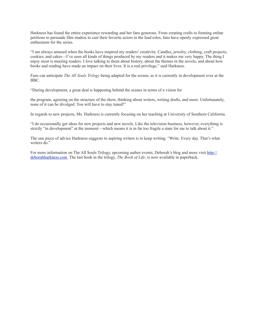Harkness has found the entire experience rewarding and her fans generous. From creating crafts to forming online petitions to persuade film studios to cast their favorite actors in the lead roles, fans have openly expressed great enthusiasm for the series.

"I am always amazed when the books have inspired my readers' creativity. Candles, jewelry, clothing, craft projects, cookies, and cakes—I've seen all kinds of things produced by my readers and it makes me very happy. The thing I enjoy most is meeting readers. I love talking to them about history, about the themes in the novels, and about how books and reading have made an impact on their lives. It is a real privilege," said Harkness.

Fans can anticipate *The All Souls Trilogy* being adapted for the screen, as it is currently in development over at the BBC.

"During development, a great deal is happening behind the scenes in terms of a vision for

the program, agreeing on the structure of the show, thinking about writers, writing drafts, and more. Unfortunately, none of it can be divulged. You will have to stay tuned!"

In regards to new projects, Ms. Harkness is currently focusing on her teaching at University of Southern California.

"I do occasionally get ideas for new projects and new novels. Like the television business, however, everything is strictly "in development" at the moment—which means it is in far too fragile a state for me to talk about it."

The one piece of advice Harkness suggests to aspiring writers is to keep writing. "Write. Every day. That's what writers do."

For more information on The All Souls Trilogy, upcoming author events, Deborah's blog and more visit [http://](http://deborahharkness.com) [deborahharkness.com.](http://deborahharkness.com) The last book in the trilogy, *The Book of Life,* is now available in paperback.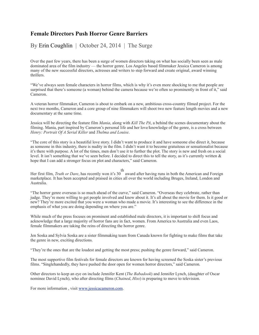## **Female Directors Push Horror Genre Barriers**

By Erin Coughlin | October 24, 2014 | The Surge

Over the past few years, there has been a surge of women directors taking on what has socially been seen as male dominated area of the film industry — the horror genre. Los Angeles based filmmaker Jessica Cameron is among many of the new successful directors, actresses and writers to step forward and create original, award winning thrillers.

"We've always seen female characters in horror films, which is why it's even more shocking to me that people are surprised that there's someone (a woman) behind the camera because we're often so prominently in front of it," said Cameron.

A veteran horror filmmaker, Cameron is about to embark on a new, ambitious cross-country filmed project. For the next two months, Cameron and a core group of nine filmmakers will shoot two new feature length movies and a new documentary at the same time.

Jessica will be directing the feature film *Mania*, along with *Kill The PA*, a behind the scenes documentary about the filming. Mania, part inspired by Cameron's personal life and her love/knowledge of the genre, is a cross between *Henry: Portrait Of A Serial Killer* and *Thelma and Louise*.

"The core of this story is a beautiful love story. I didn't want to produce it and have someone else direct it, because as someone in this industry, there is nudity in the film. I didn't want it to become gratuitous or sensationalist because it's there with purpose. A lot of the times, men don't use it to further the plot. The story is new and fresh on a social level. It isn't something that we've seen before. I decided to direct this to tell the story, as it's currently written & hope that I can add a stronger focus on plot and characters," said Cameron.

th

Her first film, *Truth or Dare*, has recently won it's 30 award after having runs in both the American and Foreign marketplace. It has been accepted and praised in cities all over the world including Bruges, Ireland, London and Australia.

"The horror genre overseas is so much ahead of the curve," said Cameron. "Overseas they celebrate, rather than judge. They're more willing to get people involved and know about it. It's all about the movie for them. Is it good or new? They're more excited that you were a woman who made a movie. It's interesting to see the difference in the emphasis of what you are doing depending on where you are."

While much of the press focuses on prominent and established male directors, it is important to shift focus and acknowledge that a large majority of horror fans are in fact, women. From America to Australia and even Laos, female filmmakers are taking the reins of directing the horror genre.

Jen Soska and Sylvia Soska are a sister filmmaking team from Canada known for fighting to make films that take the genre in new, exciting directions.

"They're the ones that are the loudest and getting the most press; pushing the genre forward," said Cameron.

The most supportive film festivals for female directors are known for having screened the Soska sister's previous films. "Singlehandedly, they have pushed the door open for women horror directors," said Cameron.

Other directors to keep an eye on include Jennifer Kent (*The Babadook*) and Jennifer Lynch, (daughter of Oscar nominee David Lynch), who after directing films (*Chained*, *Hiss*) is preparing to move to television.

For more information , visit [www.jessicacameron.com](http://www.jessicacameron.com).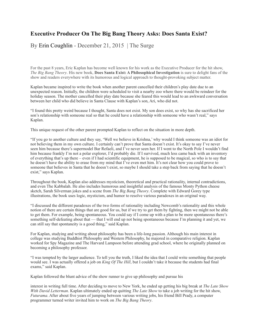## **Executive Producer On The Big Bang Theory Asks: Does Santa Exist?**

By Erin Coughlin - December 21, 2015 | The Surge

For the past 8 years, Eric Kaplan has become well known for his work as the Executive Producer for the hit show, *The Big Bang Theory*. His new book, **Does Santa Exist: A Philosophical Investigation** is sure to delight fans of the show and readers everywhere with its humorous and logical approach to thought-provoking subject matter.

Kaplan became inspired to write the book when another parent cancelled their children's play date due to an unexpected reason. Initially, the children were scheduled to visit a nearby zoo where there would be reindeer for the holiday season. The mother cancelled their play date because she feared this would lead to an awkward conversation between her child who did believe in Santa Clause with Kaplan's son, Ari, who did not.

"I found this pretty weird because I thought, Santa does not exist. My son does exist, so why has she sacrificed her son's relationship with someone real so that he could have a relationship with someone who wasn't real," says Kaplan.

This unique request of the other parent prompted Kaplan to reflect on the situation in more depth.

"If you go to another culture and they say, 'Well we believe in Krishna,' why would I think someone was an idiot for not believing them in my own culture. I certainly can't prove that Santa doesn't exist. It's okay to say I've never seen him because there's supermodel Bar Refaeli, and I've never seen her. If I went to the North Pole I wouldn't find him because frankly I'm not a polar explorer, I'd probably die. If I survived, much less came back with an inventory of everything that's up there – even if I had scientific equipment, he is supposed to be magical, so who is to say that he doesn't have the ability to erase from my mind that I've even met him. It's not clear how you could prove to someone that believes in Santa that he doesn't exist, so maybe I should take a step back from saying that he doesn't exist," says Kaplan.

Throughout the book, Kaplan also addresses mysticism, theoretical and practical rationality, internal contradictions, and even The Kabbalah. He also includes humorous and insightful analysis of the famous Monty Python cheese sketch, Sarah Silverman jokes and a scene from *The Big Bang Theory*. Complete with Edward Gorey type illustrations, the book uses logic, mysticism, and humor to resolve various paradoxes in an original way.

"I discussed the different paradoxes of the two forms of rationality including Newcomb's rationality and this whole notion of there are certain things that are good for us, but if we try to get them by fighting, then we might not be able to get them. For example, being spontaneous. You could say if I come up with a plan to be more spontaneous there's something self-defeating about that — that I will end up not being spontaneous because I'm planning it and yet, we can still say that spontaneity is a good thing," said Kaplan.

For Kaplan, studying and writing about philosophy has been a life-long passion. Although his main interest in college was studying Buddhist Philosophy and Western Philosophy, he majored in comparative religion. Kaplan worked for Spy Magazine and The Harvard Lampoon before attending grad school, where he originally planned on becoming a philosophy professor.

"I was tempted by the larger audience. To tell you the truth, I liked the idea that I could write something that people would see. I was actually offered a job on *King Of The Hill*, but I couldn't take it because the students had final exams," said Kaplan.

Kaplan followed the blunt advice of the show runner to give up philosophy and pursue his

interest in writing full time. After deciding to move to New York, he ended up getting his big break at *The Late Show With David Letterman*. Kaplan ultimately ended up quitting *The Late Show* to take a job writing for the hit show, *Futurama*. After about five years of jumping between various writing jobs, his friend Bill Prady, a computer programmer turned writer invited him to work on *The Big Bang Theory*.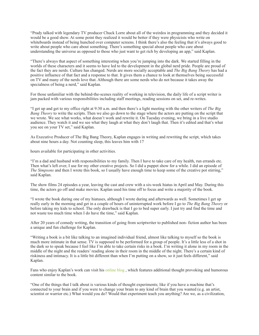"Prady talked with legendary TV producer Chuck Lorre about all of the weirdos in programming and they decided it would be a good show. At some point they realized it would be better if they were physicists who write on whiteboards instead of being hunched over computer screens. I think there's also the feeling that it's always good to write about people who care about something. There's something special about people who care about understanding the universe as opposed to those who just want to get rich by developing an app," said Kaplan.

"There's always that aspect of something interesting when you're jumping into the dark. We started filling in the worlds of these characters and it seems to have led to the development in the global nerd pride. People are proud of the fact they are nerds. Culture has changed. Nerds are more socially acceptable and *The Big Bang Theory* has had a positive influence of that fact and a response to that. It gives them a chance to look at themselves being successful on TV and many of the nerds love that. Although there are some nerds who do not because it takes away the specialness of being a nerd," said Kaplan.

For those unfamiliar with the behind-the-scenes reality of working in television, the daily life of a script writer is jam packed with various responsibilities including staff meetings, reading sessions on set, and re-writes.

"I get up and get to my office right at 9:30 a.m. and then there's a light meeting with the other writers of *The Big Bang Theory* to write the scripts. Then we also go down to the stage where the actors are putting on the script that we wrote. We see what works, what doesn't work and rewrite it. On Tuesday evening, we bring in a live studio audience. They watch it and we see what they laugh at what they don't laugh that. Then it's edited and that's what you see on your TV set," said Kaplan.

As Executive Producer of The Big Bang Theory, Kaplan engages in writing and rewriting the script, which takes about nine hours a day. Not counting sleep, this leaves him with 17

hours available for participating in other activities.

"I'm a dad and husband with responsibilities to my family. Then I have to take care of my health, run errands etc. Then what's left over, I use for my other creative projects. So I did a puppet show for a while. I did an episode of *The Simpsons* and then I wrote this book, so I usually have enough time to keep some of the creative pot stirring," said Kaplan.

The show films 24 episodes a year, leaving the cast and crew with a six-week hiatus in April and May. During this time, the actors go off and make movies. Kaplan used his time off to focus and write a majority of the book.

"I wrote the book during one of my hiatuses, although I wrote during and afterwards as well. Sometimes I get up really early in the morning and get in a couple of hours of uninterrupted work before I go to *The Big Bang Theory* or before taking my kids to school. The only drawback is that I go to bed super early. I just try and find the time and not waste too much time when I do have the time," said Kaplan.

After 20 years of comedy writing, the transition of going from scriptwriter to published non- fiction author has been a unique and fun challenge for Kaplan.

"Writing a book is a bit like talking to an imagined individual friend, almost like talking to myself so the book is much more intimate in that sense. TV is supposed to be performed for a group of people. It's a little less of a shot in the dark so to speak because I feel like I'm able to take certain risks in a book. I'm writing it alone in my room in the middle of the night and the readers' reading alone in their room in the middle of the night. There's a certain kind of riskiness and intimacy. It is a little bit different than when I'm putting on a show, so it just feels different," said Kaplan.

Fans who enjoy Kaplan's work can visit his online blog, which features additional thought provoking and humorous content similar to the book.

"One of the things that I talk about is various kinds of thought experiments; like if you have a machine that's connected to your brain and if you were to change your brain to any kind of brain that you wanted (e.g. an artist, scientist or warrior etc.) What would you do? Would that experiment teach you anything? Are we, as a civilization,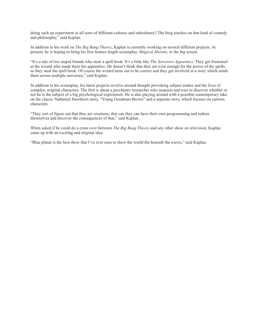doing such an experiment in all sorts of different cultures and subcultures? The blog touches on that kind of comedy and philosophy," said Kaplan.

In addition to his work on *The Big Bang Theory*, Kaplan is currently working on several different projects. At present, he is hoping to bring his first feature length screenplay, *Magical Morons*, to the big screen.

"It's a tale of two stupid friends who steal a spell book. It's a little like *The Sorcerers Apprentice*. They get frustrated at the wizard who made them his apprentice. He doesn't think that they are wise enough for the power of the spells, so they steal the spell book. Of course the wizard turns out to be correct and they get involved in a story which sends them across multiple universes," said Kaplan.

In addition to his screenplay, his latest projects revolve around thought provoking subject matter and the lives of complex, original characters. The first is about a psychiatry researcher who suspects and tries to discover whether or not he is the subject of a big psychological experiment. He is also playing around with a possible contemporary take on the classic Nathaniel Hawthorn story, "Young Goodman Brown" and a separate story, which focuses on cartoon characters.

"They sort of figure out that they are creations, that can they can have their own programming and redraw themselves and discover the consequences of that," said Kaplan.

When asked if he could do a cross over between *The Big Bang Theory* and any other show on television, Kaplan came up with an exciting and original idea.

"Blue planet is the best show that I've ever seen to show the world the beneath the waves," said Kaplan.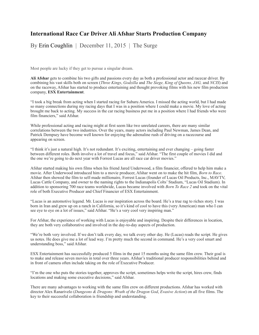## **International Race Car Driver Ali Afshar Starts Production Company**

By Erin Coughlin | December 11, 2015 | The Surge

Most people are lucky if they get to pursue a singular dream.

**Ali Afshar** gets to combine his two gifts and passions every day as both a professional actor and racecar driver. By combining his vast skills both on screen (*Three Kings*, *Godzilla* and *The Siege, King of Queens, JAG,* and *NCIS*) and on the raceway, Afshar has started to produce entertaining and thought provoking films with his new film production company, **ESX Entertainment**.

"I took a big break from acting when I started racing for Subaru America. I missed the acting world, but I had made so many connections during my racing days that I was in a position where I could make a movie. My love of acting brought me back to acting. My success in the car racing business put me in a position where I had friends who were film financiers," said Afshar.

While professional acting and racing might at first seem like two unrelated careers, there are many similar correlations between the two industries. Over the years, many actors including Paul Newman, James Dean, and Patrick Dempsey have become well known for enjoying the adrenaline rush of driving on a racecourse and appearing on screen.

"I think it's just a natural high. It's not redundant. It's exciting, entertaining and ever changing – going faster between different roles. Both involve a lot of travel and focus," said Afshar. "The first couple of movies I did and the one we're going to do next year with Forrest Lucas are all race car driver movies."

Afshar started making his own films when his friend Jared Underwood, a film financier, offered to help him make a movie. After Underwood introduced him to a movie producer, Afshar went on to make the hit film, *Born to Race*. Afshar then showed the film to self-made millionaire, Forrest Lucas (founder of Lucas Oil Products, Inc., MAVTV, Lucas Cattle Company, and owner to the naming rights to the Indianapolis Colts' Stadium, "Lucas Oil Stadium). In addition to sponsoring 700 race teams worldwide, Lucas became involved with *Born To Race 2* and took on the vital role of both Executive Producer and Chief Financier of ESX Entertainment.

"Lucas is an automotive legend. Mr. Lucas is our inspiration across the board. He's a true rag to riches story. I was born in Iran and grew up on a ranch in California, so it's kind of cool to have this (very American) man who I can see eye to eye on a lot of issues," said Afshar. "He's a very cool very inspiring man."

For Afshar, the experience of working with Lucas is enjoyable and inspiring. Despite their differences in location, they are both very collaborative and involved in the day-to-day aspects of production.

"We're both very involved. If we don't talk every day, we talk every other day. He (Lucas) reads the script. He gives us notes. He does give me a lot of lead way. I'm pretty much the second in command. He's a very cool smart and understanding boss," said Afshar.

ESX Entertainment has successfully produced 5 films in the past 15 months using the same film crew. Their goal is to make and release seven movies in total over three years. Afshar's traditional producer responsibilities behind and in front of camera often include taking on the role of Executive Producer.

"I'm the one who puts the stories together, approves the script, sometimes helps write the script, hires crew, finds locations and making some executive decisions," said Afshar.

There are many advantages to working with the same film crew on different productions. Afshar has worked with director Alex Ranarivelo (*Dungeons & Dragons: Wrath of the Dragon God*, *Evasive Action*) on all five films. The key to their successful collaboration is friendship and understanding.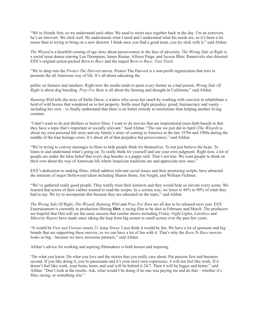"We're friends first, so we understand each other. We used to street race together back in the day. I'm an extrovert, he's an introvert. We click well. He understands what I need and I understand what his needs are, so it's been a lot easier than to trying to bring on a new director. I think once you find a good team, you try stick with it," said Afshar.

*The Wizard* is a heartfelt coming of age story about perseverance in the face of adversity. *The Wrong Side of Right* is a social issue drama starring Lea Thompson, James Remar, Allison Paige, and Jayson Blair. Ranarivelo also directed ESX's original action-packed *Born to Race* and the sequel *Born to Race: Fast Track*.

"We're deep into the *Protect The Harvest* movie. Protect The Harvest is a non-profit organization that tries to promote the all American way of life. It's all about educating the

public on farmers and ranchers. Right now the media tends to paint every farmer as a bad person. *Wrong Side Of Right* is about dog breeding. *Pray For Rain* is all about the farming and drought in California," said Afshar.

*Running Wild* tells the story of Stella Davis, a widow who saves her ranch by working with convicts to rehabilitate a herd of wild horses that wandered on to her property. Stella must fight prejudice, greed, bureaucracy and vanity – including her own – to finally understand that there is no better remedy to misfortune than helping another living creature.

"I don't want to do just thrillers or horror films. I want to do movies that are inspirational (non-faith based) in that they have a topic that's important or socially relevant." Said Afshar. "The one we just did in April (*The Wizard*) is about my own personal life story and my family's story of coming to America in the late 1970s and 1980s during the middle of the Iran hostage crisis. It's about all of that prejudice but perseverance," said Afshar.

"We're trying to convey messages in films to help people think for themselves. To not just believe the hype. To listen to and understand what's going on. To really think for yourself and use your own judgment. Right now, a lot of people are under the false belief that every dog breeder is a puppy mill. That's not true. We want people to think on their own about the way of American life where American traditions are and appreciate new ones."

ESX's dedication to making films, which address relevant social issues and their promising scripts, have attracted the interests of major Hollywood talent including Sharon Stone, Jon Voight, and William Fichtner.

"We've gathered really good people. They totally trust their instincts and they would help us elevate every scene. We learned that actors of their caliber wanted to read the scripts. In a certain way, we listen to 80% to 90% of what they had to say. We try to incorporate this because they are educated on the topic," said Afshar.

*The Wrong Side Of Right*, *The Wizard*, *Running Wild* and *Pray For Rain* are all due to be released next year. ESX Entertainment is currently in production filming **Dirt**, a racing film to be shot in February and March. The producers are hopeful that Dirt will see the same success that similar shows including *Friday Night Lights*, *Limitless* and *Minority Report* have made since taking the leap from big screen to small screen over the past few years.

"It would be *Fast and Furious* meets *21 Jump Street*. I just think it would be fun. We have a lot of sponsors and big brands that are supporting these movies, so we can have a lot of fun with it. That's why the *Born To Race* movies looks so big – because we have awesome partners," said Afshar.

Afshar's advice for working and aspiring filmmakers is both honest and inspiring.

"Do what you know. Do what you love and the stories that you really care about. Put passion first and business second. If you like doing it, you're passionate and it's your story/own experience, it will not feel like work. If it doesn't feel like work, your brain, heart, and soul will be behind it 24/7. Then it will be bigger and better," said Afshar. "Don't look at the results. Ask, what would I be doing if no one was paying me and do that – whether it's film, racing, or something else."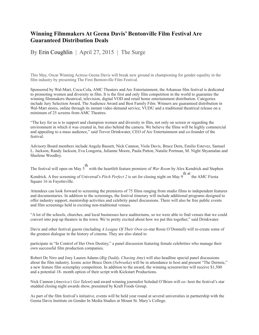### **Winning Filmmakers At Geena Davis' Bentonville Film Festival Are Guaranteed Distribution Deals**

By Erin Coughlin | April 27, 2015 | The Surge

This May, Oscar Winning Actress Geena Davis will break new ground in championing for gender equality in the film industry by presenting The First Bentonville Film Festival.

Sponsored by Wal-Mart, Coca-Cola, AMC Theaters and Arc Entertainment, the Arkansas film festival is dedicated to promoting women and diversity in film. It is the first and only film competition in the world to guarantee the winning filmmakers theatrical, television, digital VOD and retail home entertainment distribution. Categories include Jury Selection Award, The Audience Award and Best Family Film. Winners are guaranteed distribution in Wal-Mart stores, online through its instant video demand service, VUDU and a traditional theatrical release on a minimum of 25 screens from AMC Theatres.

"The key for us is to support and champion women and diversity in film, not only on screen or regarding the environment in which it was created in, but also behind the camera. We believe the films will be highly commercial and appealing to a mass audience," said Trevor Drinkwater, CEO of Arc Entertainment and co-founder of the festival.

Advisory Board members include Angela Bassett, Nick Cannon, Viola Davis, Bruce Dern, Emilio Estevez, Samuel L. Jackson, Randy Jackson, Eva Longoria, Julianne Moore, Paula Patton, Natalie Portman, M. Night Shyamalan and Shailene Woodley.

The festival will open on May 5 th with the heartfelt feature premiere of *War Room* by Alex Kendrick and Stephen

Kendrick. A free screening of Universal's *Pitch Perfect 2* is set for closing night on May 9 th at the AMC Fiesta Square 16 in Fayetteville.

Attendees can look forward to screening the premieres of 75 films ranging from studio films to independent features and documentaries. In addition to the screenings, the festival itinerary will include additional programs designed to offer industry support, mentorship activities and celebrity panel discussions. There will also be free public events and film screenings held in exciting non-traditional venues.

"A lot of the schools, churches, and local businesses have auditoriums, so we were able to find venues that we could convert into pop up theaters in the town. We're pretty excited about how we put this together," said Drinkwater.

Davis and other festival guests (including *A League Of Their Own* co-star Rosie O'Donnell) will re-create some of the greatest dialogue in the history of cinema. They are also slated to

participate in "In Control of Her Own Destiny," a panel discussion featuring female celebrities who manage their own successful film production companies.

Robert De Niro and Joey Lauren Adams (*Big Daddy, Chasing Amy*) will also headline special panel discussions about the film industry. Iconic actor Bruce Dern (*Nebraska*) will be in attendance to host and present "The Dernsie," a new feature film screenplay competition. In addition to the award, the winning screenwriter will receive \$1,500 and a potential 18- month option of their script with Kickstart Productions.

Nick Cannon (*America's Got Talent*) and award winning journalist Soledad O'Brien will co- host the festival's star studded closing night awards show, presented by Kraft Foods Group.

As part of the film festival's initiative, events will be held year round at several universities in partnership with the Geena Davis Institute on Gender In Media Studies at Mount St. Mary's College.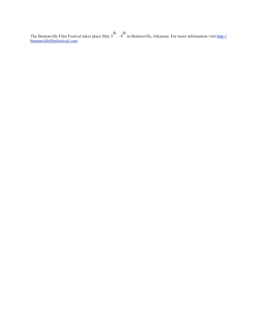The Bentonville Film Festival takes place May 5 th – 9 th in Bentonville, Arkansas. For more information visit [http://](http://bentonvillefilmfestival.com) [bentonvillefilmfestival.com.](http://bentonvillefilmfestival.com)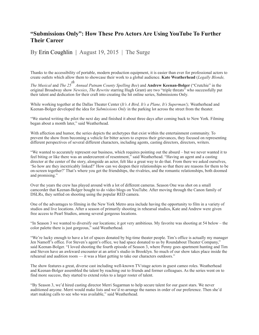## **"Submissions Only": How These Pro Actors Are Using YouTube To Further Their Career**

## By Erin Coughlin | August 19, 2015 | The Surge

Thanks to the accessibility of portable, modern production equipment, it is easier than ever for professional actors to create outlets which allow them to showcase their work to a global audience. **Kate Weatherhead** (*Legally Blonde,* 

*The Musical* and *The 25 th Annual Putnam County Spelling Bee*) and **Andrew Keenan-Bolger** ("Crutchie" in the original Broadway show *Newsies*, *The Rewrite* starring Hugh Grant) are two "triple threats" who successfully put their talent and dedication for their craft into creating the hit online series, Submissions Only*.* 

While working together at the Dallas Theater Center (*It's A Bird, It's a Plane, It's Superman!),* Weatherhead and Keenan-Bolger developed the idea for *Submissions Only* in the parking lot across the street from the theater.

"We started writing the pilot the next day and finished it about three days after coming back to New York. Filming began about a month later," said Weatherhead.

With affection and humor, the series depicts the archetypes that exist within the entertainment community. To prevent the show from becoming a vehicle for bitter actors to express their grievances, they focused on representing different perspectives of several different characters, including agents, casting directors, directors, writers.

"We wanted to accurately represent our business, which requires pointing out the absurd – but we never wanted it to feel biting or like there was an undercurrent of resentment," said Weatherhead. "Having an agent and a casting director at the center of the story, alongside an actor, felt like a great way to do that. From there we asked ourselves, 'So how are they inextricably linked?' How can we deepen their relationships so that there are reasons for them to be on-screen together?' That's where you get the friendships, the rivalries, and the romantic relationships, both doomed and promising."

Over the years the crew has played around with a lot of different cameras. Season One was shot on a small camcorder that Keenan-Bolger bought to do video blogs on YouTube. After moving through the Canon family of DSLRs, they settled on shooting using the popular RED camera.

One of the advantages to filming in the New York Metro area include having the opportunity to film in a variety of studios and live locations. After a season of primarily shooting in rehearsal studios, Kate and Andrew were given free access to Pearl Studios, among several gorgeous locations.

"In Season 3 we wanted to diversify our locations; it got very ambitious. My favorite was shooting at 54 below – the color palette there is just gorgeous," said Weatherhead.

"We're lucky enough to have a lot of spaces donated by big-time theater people. Tim's office is actually my manager Jen Namoff's office. For Steven's agent's office, we had space donated to us by Roundabout Theater Company," said Keenan-Bolger. "I loved shooting the fourth episode of Season 3, where Penny goes apartment hunting and Tim and Steven have an awkward encounter at an artist's studio in Brooklyn. So much of our show takes place inside the rehearsal and audition room — it was a blast getting to take our characters outdoors."

The show features a great, diverse cast including well-known TV/stage actors in guest cameo roles. Weatherhead and Keenan-Bolger assembled the talent by reaching out to friends and former colleagues. As the series went on to find more success, they started to extend roles to a larger roster of talent.

"By Season 3, we'd hired casting director Merri Sugarman to help secure talent for our guest stars. We never auditioned anyone. Merri would make lists and we'd re-arrange the names in order of our preference. Then she'd start making calls to see who was available," said Weatherhead.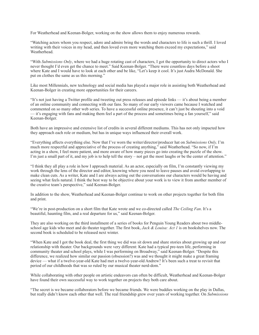For Weatherhead and Keenan-Bolger, working on the show allows them to enjoy numerous rewards.

"Watching actors whom you respect, adore and admire bring the words and characters to life is such a thrill. I loved writing with their voices in my head, and then loved even more watching them exceed my expectations," said Weatherhead.

"With *Submissions Only*, where we had a huge rotating cast of characters, I got the opportunity to direct actors who I never thought I'd even get the chance to meet." Said Keenan-Bolger. "There were countless days before a shoot where Kate and I would have to look at each other and be like, "Let's keep it cool. It's just Audra McDonald. She put on clothes the same as us this morning."

Like most Millennials, new technology and social media has played a major role in assisting both Weatherhead and Keenan-Bolger in creating more opportunities for their careers.

"It's not just having a Twitter profile and tweeting out press releases and episode links — it's about being a member of an online community and connecting with our fans. So many of our early viewers came because I watched and commented on so many other web series. To have a successful online presence, it can't just be shouting into a void — it's engaging with fans and making them feel a part of the process and sometimes being a fan yourself," said Keenan-Bolger.

Both have an impressive and extensive list of credits in several different mediums. This has not only impacted how they approach each role or medium, but has in unique ways influenced their overall work.

"Everything affects everything else. Now that I've worn the writer/director/producer hat on *Submissions Only,* I'm much more respectful and appreciative of the process of creating anything," said Weatherhead. "So now, if I'm acting in a show, I feel more patient, and more aware of how many pieces go into creating the puzzle of the show. I'm just a small part of it, and my job is to help tell the story – not get the most laughs or be the center of attention."

"I think they all play a role in how I approach material. As an actor, especially on film, I'm constantly viewing my work through the lens of the director and editor, knowing where you need to leave pauses and avoid overlapping to make clean cuts. As a writer, Kate and I are always acting out the conversations our characters would be having and seeing what feels natural. I think the best way to be objective about your work is to view it from another member of the creative team's perspective," said Keenan-Bolger.

In addition to the show, Weatherhead and Keenan-Bolger continue to work on other projects together for both film and print.

"We're in post-production on a short film that Kate wrote and we co-directed called *The Ceiling Fan*. It's a beautiful, haunting film, and a real departure for us," said Keenan-Bolger.

They are also working on the third installment of a series of books for Penguin Young Readers about two middleschool age kids who meet and do theater together. The first book, *Jack & Louisa: Act 1* is on bookshelves now. The second book is scheduled to be released next winter.

"When Kate and I got the book deal, the first thing we did was sit down and share stories about growing up and our relationship with theater. Our backgrounds were very different: Kate had a typical pre-teen life, performing in community theater and school plays, while I was performing on Broadway," said Keenan-Bolger. "Despite this difference, we realized how similar our passion (obsession?) was and we thought it might make a great framing device — what if a twelve-year-old Kate had met a twelve-year-old Andrew? It's been such a treat to revisit that period of our childhoods that was so ruled by our musical theater nerd-dom."

While collaborating with other people on artistic endeavors can often be difficult, Weatherhead and Keenan-Bolger have found their own successful way to work together on projects they both care about.

"The secret is we became collaborators before we became friends. We were buddies working on the play in Dallas, but really didn't know each other that well. The real friendship grew over years of working together. On *Submissions*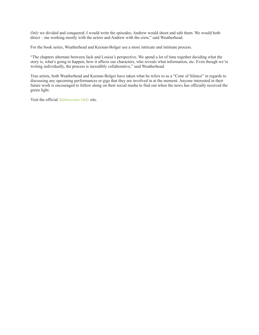*Only* we divided and conquered. I would write the episodes; Andrew would shoot and edit them. We would both direct – me working mostly with the actors and Andrew with the crew," said Weatherhead.

For the book series, Weatherhead and Keenan-Bolger use a more intricate and intimate process.

"The chapters alternate between Jack and Louisa's perspective. We spend a lot of time together deciding what the story is, what's going to happen, how it affects our characters, who reveals what information, etc. Even though we're writing individually, the process is incredibly collaborative," said Weatherhead.

True artists, both Weatherhead and Keenan-Bolger have taken what he refers to as a "Cone of Silence" in regards to discussing any upcoming performances or gigs that they are involved in at the moment. Anyone interested in their future work is encouraged to follow along on their social media to find out when the news has officially received the green light.

Visit the official *Submissions Only* site.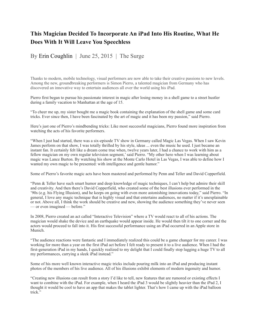## **This Magician Decided To Incorporate An iPad Into His Routine, What He Does With It Will Leave You Speechless**

By Erin Coughlin | June 25, 2015 | The Surge

Thanks to modern, mobile technology, visual performers are now able to take their creative passions to new levels. Among the new, groundbreaking performers is Simon Pierro, a talented magician from Germany who has discovered an innovative way to entertain audiences all over the world using his iPad.

Pierro first began to pursue his passionate interest in magic after losing money in a shell game to a street hustler during a family vacation to Manhattan at the age of 15.

"To cheer me up, my sister bought me a magic book containing the explanation of the shell game and some card tricks. Ever since then, I have been fascinated by the art of magic and it has been my passion," said Pierro.

Here's just one of Pierro's mindbending tricks: Like most successful magicians, Pierro found more inspiration from watching the acts of his favorite performers.

"When I just had started, there was a six-episode TV show in Germany called Magic Las Vegas. When I saw Kevin James perform on that show, I was totally thrilled by his style, ideas ... even the music he used. I just became an instant fan. It certainly felt like a dream come true when, twelve years later, I had a chance to work with him as a fellow magician on my own regular television segment,' said Pierro. "My other hero when I was learning about magic was Lance Burton. By watching his show at the Monte Carlo Hotel in Las Vegas, I was able to define how I wanted my own magic to be presented: with intelligence and gentle humor."

Some of Pierro's favorite magic acts have been mastered and performed by Penn and Teller and David Copperfield.

"Penn & Teller have such smart humor and deep knowledge of magic techniques, I can't help but admire their skill and creativity. And then there's David Copperfield, who created some of the best illusions ever performed in the '90s (e.g. his Flying Illusion), and he keeps on going with even more astonishing innovations today," said Pierro. "In general, I love any magic technique that is highly visual and that entertains audiences, no matter if it's unexplainable or not. Above all, I think the work should be creative and new, showing the audience something they've never seen — or even imagined — before."

In 2008, Pierro created an act called "Interactive Television" where a TV would react to all of his actions. The magician would shake the device and an earthquake would appear inside. He would then tilt it to one corner and the actors would proceed to fall into it. His first successful performance using an iPad occurred in an Apple store in Munich.

"The audience reactions were fantastic and I immediately realized this could be a game changer for my career. I was working for more than a year on the first iPad act before I felt ready to present it to a live audience. When I had the first-generation iPad in my hands, I quickly realized to my delight that I could finally stop lugging a huge TV to all my performances, carrying a sleek iPad instead."

Some of his more well known interactive magic tricks include pouring milk into an iPad and producing instant photos of the members of his live audience. All of his illusions exhibit elements of modern ingenuity and humor.

"Creating new illusions can result from a story I'd like to tell, new features that are rumored or existing effects I want to combine with the iPad. For example, when I heard the iPad 3 would be slightly heavier than the iPad 2, I thought it would be cool to have an app that makes the tablet lighter. That's how I came up with the iPad balloon trick."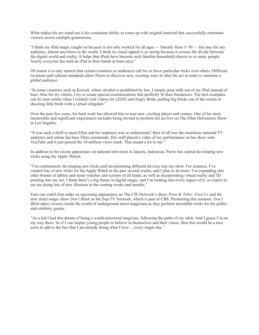What makes his act stand out is his consistent ability to come up with original material that successfully entertains viewers across multiple generations.

"I think my iPad magic caught on because it not only worked for all ages — literally from 3- 99 — but also for any audience, almost anywhere in the world. I think its visual appeal is so strong because it crosses the divide between the digital world and reality. It helps that iPads have become such familiar household objects to so many people. Nearly everyone has held an iPad in their hands at least once."

Of course it is only natural that certain countries or audiences call for or favor particular tricks over others. Different locations and cultural standards allow Pierro to discover new, exciting ways to alter his act in order to entertain a global audience.

"In some countries such as Kuwait, where alcohol is prohibited by law, I simply pour milk out of my iPad instead of beer. Also for my clients, I try to create special customizations that perfectly fit their businesses. The best examples can be seen online when I created viral videos for LEGO and Angry Birds, pulling big bricks out of the screen or shooting little birds with a virtual slingshot."

Over the past few years, his hard work has allowed him to tour new, exciting places and venues. One of his most memorable and significant experiences includes being invited to perform his act live on The Ellen DeGeneres Show in Los Angeles.

"It was such a thrill to meet Ellen and her audience was so enthusiastic! Best of all was the enormous national TV audience and online fan base Ellen commands. Her staff placed a video of my performance on her show onto YouTube and it just passed the 10-million-views mark. That meant a lot to me."

In addition to his recent appearance on national television in Jakarta, Indonesia, Pierro has started developing new tricks using the Apple iWatch.

"I'm continuously developing new tricks and incorporating different devices into my show. For instance, I've created lots of new tricks for the Apple Watch in the past several weeks, and I plan to do more. I'm expanding into other brands of tablets and smart watches and screens of all kinds, as well as incorporating virtual reality and 3D printing into my act. I think there's a big future in digital magic, and I'm looking into every aspect of it, so expect to see me doing lots of new illusions in the coming weeks and months."

Fans can watch him make an upcoming appearance on The CW Network's show, *Penn & Teller: Fool Us* and the new street magic show *Don't Blink* on the Pop TV Network, which is part of CBS. Premiering this summer, *Don't Blink* takes viewers inside the world of underground street magicians as they perform incredible tricks for the public and celebrity guests.

"As a kid I had this dream of being a world-renowned magician, following the paths of my idols. And I guess I'm on my way there. So if I can inspire young people to believe in themselves and their vision, then this would be a nice extra to add to the fact that I am already doing what I love ... every single day."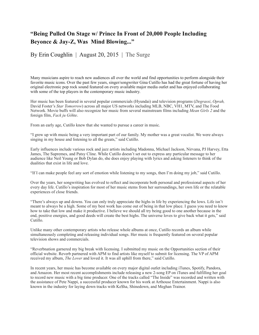## **"Being Pulled On Stage w/ Prince In Front of 20,000 People Including Beyonce & Jay-Z, Was Mind Blowing..."**

By Erin Coughlin | August 20, 2015 | The Surge

Many musicians aspire to reach new audiences all over the world and find opportunities to perform alongside their favorite music icons. Over the past few years, singer/songwriter Gina Cutillo has had the great fortune of having her original electronic pop rock sound featured on every available major media outlet and has enjoyed collaborating with some of the top players in the contemporary music industry.

Her music has been featured in several popular commercials (Hyundai) and television programs (*Degrassi*, *Oprah,*  David Foster's *Star Tomorrow*) across all major US networks including MLB, NBC, VH1, MTV, and The Food Network. Movie buffs will also recognize her music from several mainstream films including *Mean Girls 2* and the foreign film, *Fack ju Göhte*.

From an early age, Cutillo knew that she wanted to pursue a career in music.

"I grew up with music being a very important part of our family. My mother was a great vocalist. We were always singing in my house and listening to all the greats," said Cutillo.

Early influences include various rock and jazz artists including Madonna, Michael Jackson, Nirvana, PJ Harvey, Etta James, The Supremes, and Patsy Cline. While Cutillo doesn't set out to express any particular message to her audience like Neil Young or Bob Dylan do, she does enjoy playing with lyrics and asking listeners to think of the dualities that exist in life and love.

"If I can make people feel any sort of emotion while listening to my songs, then I'm doing my job," said Cutillo.

Over the years, her songwriting has evolved to reflect and incorporate both personal and professional aspects of her every day life. Cutillo's inspiration for most of her music stems from her surroundings, her own life or the relatable experiences of close friends.

"There's always up and downs. You can only truly appreciate the highs in life by experiencing the lows. Life isn't meant to always be a high. Some of my best work has come out of being in that low place. I guess you need to know how to take that low and make it productive. I believe we should all try being good to one another because in the end, positive energies, and good deeds will create the best highs. The universe loves to give back what it gets," said Cutillo.

Unlike many other contemporary artists who release whole albums at once, Cutillo records an album while simultaneously completing and releasing individual songs. Her music is frequently featured on several popular television shows and commercials.

"Reverbnation garnered my big break with licensing. I submitted my music on the Opportunities section of their official website. Reverb partnered with APM to find artists like myself to submit for licensing. The VP of APM received my album, *The Lover* and loved it. It was all uphill from there," said Cutillo.

In recent years, her music has become available on every major digital outlet including iTunes, Spotify, Pandora, and Amazon. Her most recent accomplishments include releasing a new 2-song EP on iTunes and fulfilling her goal to record new music with a big time producer. One of the tracks called "The Inside" was recorded and written with the assistance of Pete Nappi, a successful producer known for his work at Arthouse Entertainment. Nappi is also known in the industry for laying down tracks with Ke\$ha, Shinedown, and Meghan Trainor.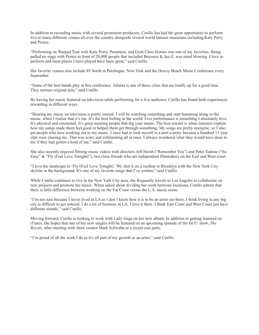In addition to recording music with several prominent producers, Cutillo has had the great opportunity to perform live at many different venues all over the country alongside several world famous musicians including Katy Perry and Prince.

"Performing on Warped Tour with Katy Perry, Paramore, and Gym Class Heroes was one of my favorites. Being pulled on stage with Prince in front of 20,000 people that included Beyonce & Jay-Z, was mind blowing. I love to perform and most places I have played have been great," said Cutillo.

Her favorite venues also include 89 North in Patchogue, New York and the Dewey Beach Music Conference every September.

"Some of the best bands play at this conference. Atlanta is one of these cities that are totally up for a good time. They nurture original acts," said Cutillo.

By having her music featured on television while performing for a live audience, Cutillo has found both experiences rewarding in different ways.

"Hearing my music on television is pretty surreal. I will be watching something and start humming along to the music, when I realize that it's me. It's the best feeling in the world. Live performance is something I absolutely love. It's physical and emotional. It's great meeting people that dig your music. The best reward is when listeners explain how my songs made them feel good or helped them get through something. My songs are pretty energetic, so I also get people who love working out to my music. I once had to lock myself in a port-a-potty because a hundred 13 year olds were chasing me. That was scary and exhilarating all at once. I always wondered what they would have done to me if they had gotten a hold of me," said Cutillo.

She also recently enjoyed filming music videos with directors Jeff Hersh ("Remember You") and Peter Tedone ("So Easy" & "Fly (Feel Love Tonight)"), two close friends who are independent filmmakers on the East and West coast.

"I love the landscape in 'Fly (Feel Love Tonight).' We shot it on a rooftop in Brooklyn with the New York City skyline in the background. It's one of my favorite songs that I've written," said Cutillo.

While Cutillo continues to live in the New York City area, she frequently travels to Los Angeles to collaborate on new projects and promote her music. When asked about dividing her work between locations, Cutillo admits that there is little difference between working on the Eat Coast versus the L.A. music scene.

"I'm not sure because I never lived in LA so I don't know how it is to be an artist out there. I think living in any big city is difficult to get noticed. I do a lot of business in LA. I love it there. I think East Coast and West Coast just have different sounds," said Cutillo.

Moving forward, Cutillo is looking to work with Lady Gaga on her new album. In addition to getting featured on iTunes, she hopes that one of her new singles will be featured on an upcoming episode of the hit E! show, *The Royals,* after meeting with show creator Mark Schwahn at a recent cast party.

"I'm proud of all the work I do as it's all part of my growth as an artist," said Cutillo.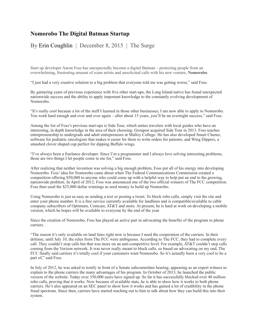#### **Nomorobo The Digital Batman Startup**

By Erin Coughlin | December 8, 2015 | The Surge

Start up developer Aaron Foss has unexpectedly become a digital Batman – protecting people from an overwhelming, frustrating amount of scam artists and unsolicited calls with his new venture, **Nomorobo**.

"I just had a very creative solution to a big problem that everyone told me was getting worse," said Foss.

By garnering years of previous experience with five other start-ups, the Long Island native has found unexpected nationwide success and the ability to apply important knowledge to the constantly evolving development of Nomorobo.

"It's really cool because a lot of the stuff I learned in those other businesses, I am now able to apply to Nomorobo. You work hard enough and over and over again – after about 15 years, you'll be an overnight success," said Foss.

Among the list of Foss's previous start-ups is Side Tour, which unites travelers with local guides who have an interesting, in depth knowledge in the area of their choosing. Groupon acquired Side Tour in 2013. Foss teaches entrepreneurship to undergrads and adult entrepreneurs at Malloy College. He has also developed Smart Chemo, software for pediatric oncologists that makes it easier for them to write orders for patients, and Wing Dippers, a smashed clover shaped cup perfect for dipping Buffalo wings.

"I've always been a freelance developer. Since I'm a programmer and I always love solving interesting problems, those are two things I let people come to me for," said Foss.

After realizing that neither invention was solving a big enough problem, Foss put all of his energy into developing Nomorobo. Foss' idea for Nomorobo came about when The Federal Communications Commission created a competition offering \$50,000 to anyone who could come up with a helpful way to help put an end to the growing. nationwide problem. In April of 2012, Foss was announced one of the two official winners of The FCC competition. Foss then used the \$25,000 dollar winnings as seed money to build up Nomorobo.

Using Nomorobo is just as easy as sending a text or posting a tweet. To block robo calls, simply visit the site and enter your phone number. It is a free service currently available for landlines and is compatible/available to cable company subscribers of Optimum, Comcast, AT&T and more. At present, he is hard at work on developing a mobile version, which he hopes will be available to everyone by the end of the year.

Since the creation of Nomorobo, Foss has played an active part in advocating the benefits of the program to phone carriers.

"The reason it's only available on land lines right now is because I need the cooperation of the carriers. In their defense, until July 10, the rules from The FCC were ambiguous. According to The FCC, they had to complete every call. They couldn't stop calls but that was more on an anti-competitive level. For example, AT&T couldn't step calls coming from the Verizon network. It was never really meant to block calls, so based on advocating on my end, The FCC finally said carriers it's totally cool if your customers want Nomorobo. So it's actually been a very cool to be a part of," said Foss.

In July of 2012, he was asked to testify in front of a Senate subcommittee hearing, appearing as an expert witness to explain to the phone carriers the many advantages of his program. In October of 2013, he launched the public version of the website. Today over 350,000 users have signed up. So far it has successfully blocked over 40 million robo calls, proving that it works. Now because of available stats, he is able to show how it works to both phone carriers. He's also appeared on an SEC panel to show how it works and has gained a lot of credibility in the phone fraud spectrum. Since then, carriers have started reaching out to him to talk about how they can build this into their system.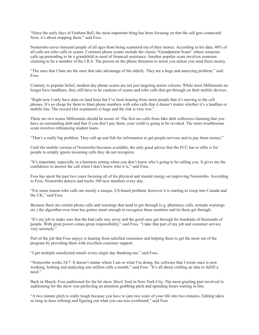"Since the early days of Graham Bell, the most important thing has been focusing on that the call gets connected. Now, it's about stopping them," said Foss.

Nomorobo saves innocent people of all ages from being scammed out of their money. According to his data, 40% of all calls are robo calls or scams. Common phone scams include the classic "Grandparent Scam" where someone calls up pretending to be a grandchild in need of financial assistance. Another popular scam involves someone claiming to be a member of the I.R.S. The person on the phone threatens to arrest you unless you send them money.

"The ones that I hate are the ones that take advantage of the elderly. They are a huge and annoying problem," said Foss.

Contrary to popular belief, modern day phone scams are not just targeting senior citizens. While most Millennials no longer have landlines, they still have to be cautious of scams and robo calls that get through on their mobile devices.

"Right now I only have data on land lines but I've been hearing from more people that it's moving to the cell phones. It's so cheap for them to blast phone numbers with robo calls that it doesn't matter whether it's a landline or mobile line. The reward (for scammers) is huge and the risk is very low."

There are two scams Millennials should be aware of. The first are calls from fake debt collectors claiming that you have an outstanding debt and that if you don't pay them, your credit is going to be revoked. The more troublesome scam involves refinancing student loans.

"That's a really big problem. They call up and fish for information to get people nervous and to pay them money."

Until the mobile version of Nomorobo becomes available, the only good advice that the FCC has to offer is for people to simply ignore incoming calls they do not recognize.

"It's important, especially in a business setting when you don't know who's going to be calling you. It gives me the confidence to answer the call when I don't know who it is," said Foss.

Foss has spent the past two years focusing all of his physical and mental energy on improving Nomorobo. According to Foss, Nomorobo detects and tracks 300 new numbers every day.

"For some reason robo calls are mostly a unique, US-based problem, however it is starting to creep into Canada and the UK," said Foss.

Because there are certain phone calls and warnings that need to get through (e.g. pharmacy calls, tornado warnings etc.) the algorithm over time has gotten smart enough to recognize these numbers and let them get through.

"It's my job to make sure that the bad calls stay away and the good ones get through for hundreds of thousands of people. With great power comes great responsibility," said Foss. "I take that part of my job and customer service very seriously."

Part of the job that Foss enjoys is hearing from satisfied customers and helping them to get the most out of the program by providing them with excellent customer support.

"I get multiple unsolicited emails every single day thanking me," said Foss.

"Nomorobo works 24/7. It doesn't matter where I am or what I'm doing, the software that I wrote once is now working, looking and analyzing one million calls a month," said Foss. "It's all about crafting an idea to fulfill a need."

Back in March, Foss auditioned for the hit show *Shark Tank* in New York City. The most grueling part involved in auditioning for the show was perfecting an attention grabbing pitch and spending hours waiting in line.

"A two minute pitch is really tough because you have to jam two years of your life into two minutes. Editing takes so long as does refining and figuring out what you can toss overboard," said Foss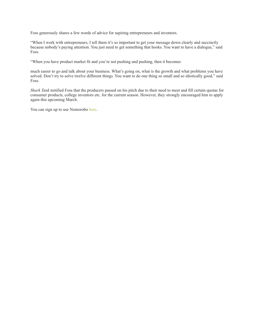Foss generously shares a few words of advice for aspiring entrepreneurs and inventors.

"When I work with entrepreneurs, I tell them it's so important to get your message down clearly and succinctly because nobody's paying attention. You just need to get something that hooks. You want to have a dialogue," said Foss.

"When you have product market fit and you're not pushing and pushing, then it becomes

much easier to go and talk about your business. What's going on, what is the growth and what problems you have solved. Don't try to solve twelve different things. You want to do one thing so small and so idiotically good," said Foss.

*Shark Tank* notified Foss that the producers passed on his pitch due to their need to meet and fill certain quotas for consumer products, college inventors etc. for the current season. However, they strongly encouraged him to apply again this upcoming March.

You can sign up to use Nomorobo here.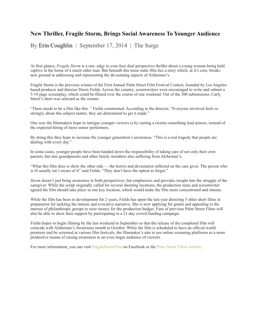#### **New Thriller, Fragile Storm, Brings Social Awareness To Younger Audience**

By Erin Coughlin | September 17, 2014 | The Surge

At first glance, *Fragile Storm* is a raw, edgy in your face dual perspective thriller about a young woman being held captive in the home of a much older man. But beneath this tense indie film lies a story which, at it's core, breaks new ground in addressing and representing the devastating aspects of Alzheimer's.

Fragile Storm is the previous winner of the First Annual Palm Street Film Festival Contest, founded by Los Angeles based producer and director Dawn Fields. Across the country, screenwriters were encouraged to write and submit a 5-10 page screenplay, which could be filmed over the course of one weekend. Out of the 300 submissions, Carly Street's short was selected as the winner.

"There needs to be a film like this. " Fields commented. According to the director, "Everyone involved feels so strongly about this subject matter, they are determined to get it made."

One way the filmmakers hope to intrigue younger viewers is by casting a twenty-something lead actress, instead of the expected hiring of more senior performers.

By doing this they hope to increase the younger generation's awareness. "This is a real tragedy that people are dealing with every day."

In some cases, younger people have been handed down the responsibility of taking care of not only their own parents, but also grandparents and other family members also suffering from Alzheimer's.

"What this film does is show the other side — the horror and devastation inflicted on the care giver. The person who is ill usually isn't aware of it" said Fields. "They don't have the option to forget."

*Storm* doesn't just bring awareness to both perspectives, but emphasizes and provides insight into the struggle of the caregiver. While the script originally called for several shooting locations, the production team and screenwriter agreed the film should take place in one key location, which would make the film more concentrated and intense.

While the film has been in development for 2 years, Fields has spent the last year directing 5 other short films in preparation for tackling the intense and evocative narrative. She is now applying for grants and appealing to the interest of philanthropic groups to raise money for the production budget. Fans of previous Palm Street Films will also be able to show their support by participating in a 21-day crowd-funding campaign.

Fields hopes to begin filming by the last weekend in September so that the release of the completed film will coincide with Alzheimer's Awareness month in October. While the film is scheduled to have an official world premiere and be screened at various film festivals, the filmmaker's aim to use online screening platforms as a more productive means of raising awareness to an even larger audience of viewers.

For more information, you can visit FragileStormFilm on Facebook or the Palm Street Films website.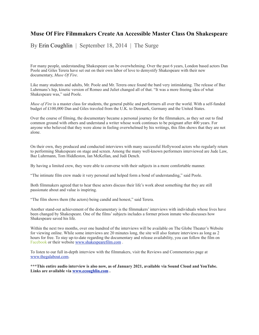#### **Muse Of Fire Filmmakers Create An Accessible Master Class On Shakespeare**

By Erin Coughlin| September 18, 2014 | The Surge

For many people, understanding Shakespeare can be overwhelming. Over the past 6 years, London based actors Dan Poole and Giles Terera have set out on their own labor of love to demystify Shakespeare with their new documentary, *Muse Of Fire*.

Like many students and adults, Mr. Poole and Mr. Terera once found the bard very intimidating. The release of Baz Luhrmans's hip, kinetic version of Romeo and Juliet changed all of that. "It was a more freeing idea of what Shakespeare was," said Poole.

*Muse of Fire* is a master class for students, the general public and performers all over the world. With a self-funded budget of £100,000 Dan and Giles traveled from the U.K. to Denmark, Germany and the United States.

Over the course of filming, the documentary became a personal journey for the filmmakers, as they set out to find common ground with others and understand a writer whose work continues to be poignant after 400 years. For anyone who believed that they were alone in feeling overwhelmed by his writings, this film shows that they are not alone.

On their own, they produced and conducted interviews with many successful Hollywood actors who regularly return to performing Shakespeare on stage and screen. Among the many well-known performers interviewed are Jude Law, Baz Luhrmann, Tom Hiddleston, Ian McKellan, and Judi Dench.

By having a limited crew, they were able to converse with their subjects in a more comfortable manner.

"The intimate film crew made it very personal and helped form a bond of understanding," said Poole.

Both filmmakers agreed that to hear these actors discuss their life's work about something that they are still passionate about and value is inspiring.

"The film shows them (the actors) being candid and honest," said Terera.

Another stand-out achievement of the documentary is the filmmakers' interviews with individuals whose lives have been changed by Shakespeare. One of the films' subjects includes a former prison inmate who discusses how Shakespeare saved his life.

Within the next two months, over one hundred of the interviews will be available on The Globe Theater's Website for viewing online. While some interviews are 20 minutes long, the site will also feature interviews as long as 2 hours for free. To stay up-to-date regarding the documentary and release availability, you can follow the film on Facebook or their website [www.shakespearefilm.com](http://www.shakespearefilm.com) .

To listen to our full in-depth interview with the filmmakers, visit the Reviews and Commentaries page at [www.thegalabout.com.](http://www.thegalabout.com)

**\*\*\*This entire audio interview is also now, as of January 2021, available via Sound Cloud and YouTube. Links are available via [www.ecoughlin.com](http://www.ecoughlin.com) .**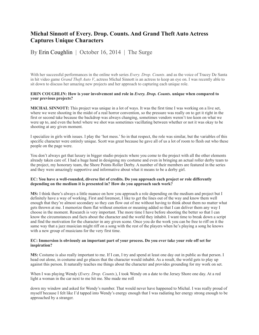## **Michal Sinnott of Every. Drop. Counts. And Grand Theft Auto Actress Captures Unique Characters**

#### By Erin Coughlin| October 16, 2014 | The Surge

With her successful performances in the online web series *Every. Drop. Counts*. and as the voice of Tracey De Santa in hit video game *Grand Theft Auto V*, actress Michal Sinnott is an actress to keep an eye on. I was recently able to sit down to discuss her amazing new projects and her approach to capturing each unique role.

#### **ERIN COUGHLIN: How is your involvement and role in** *Every. Drop. Counts***. unique when compared to your previous projects?**

**MICHAL SINNOTT:** This project was unique in a lot of ways. It was the first time I was working on a live set, where we were shooting in the midst of a real horror convention, so the pressure was really on to get it right in the first or second take because the backdrop was always changing, sometimes vendors weren't too keen on what we were up to, and even the hotel where we shot was sometimes vacillating between whether or not it was okay to be shooting at any given moment.

I specialize in girls with issues. I play the 'hot mess.' So in that respect, the role was similar, but the variables of this specific character were entirely unique. Scott was great because he gave all of us a lot of room to flesh out who these people on the page were.

You don't always get that luxury in bigger studio projects where you come to the project with all the other elements already taken care of. I had a huge hand in designing my costume and even in bringing an actual roller derby team to the project, my honorary team, the Shore Points Roller Derby. A number of their members are featured in the series and they were amazingly supportive and informative about what it means to be a derby girl.

#### **EC: You have a well-rounded, diverse list of credits. Do you approach each project or role differently depending on the medium it is presented in? How do you approach such work?**

**MS:** I think there's always a little nuance on how you approach a role depending on the medium and project but I definitely have a way of working. First and foremost, I like to get the lines out of the way and know them well enough that they're almost secondary so they can flow out of me without having to think about them no matter what gets thrown at me. I memorize them flat without emotion or meaning added so that I can deliver them any way I choose in the moment. Research is very important. The more time I have before shooting the better so that I can know the circumstances and facts about the character and the world they inhabit. I want time to break down a script and find the motivation for the character in any given scene. Once you do the work you can be free to riff on it the same way that a jazz musician might riff on a song with the rest of the players when he's playing a song he knows with a new group of musicians for the very first time.

#### **EC: Immersion is obviously an important part of your process. Do you ever take your role off set for inspiration?**

**MS:** Costume is also really important to me. If I can, I try and spend at least one day out in public as that person. I head out alone, in costume and go places that the character would inhabit. As a result, the world gets to play up against this person. It naturally teaches me things about the character and provides grounding for my work on set.

When I was playing Wendy (*Every. Drop. Counts.*), I took Wendy on a date to the Jersey Shore one day. At a red light a woman in the car next to me hit me. She made me roll

down my window and asked for Wendy's number. That would never have happened to Michal. I was really proud of myself because I felt like I'd tapped into Wendy's energy enough that I was radiating her energy strong enough to be approached by a stranger.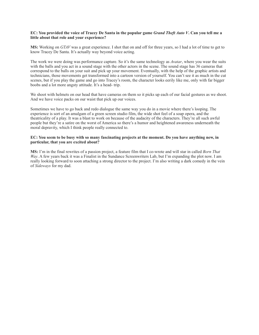#### **EC: You provided the voice of Tracey De Santa in the popular game** *Grand Theft Auto V***. Can you tell me a little about that role and your experience?**

**MS:** Working on *GTAV* was a great experience. I shot that on and off for three years, so I had a lot of time to get to know Tracey De Santa. It's actually way beyond voice acting.

The work we were doing was performance capture. So it's the same technology as *Avatar*, where you wear the suits with the balls and you act in a sound stage with the other actors in the scene. The sound stage has 36 cameras that correspond to the balls on your suit and pick up your movement. Eventually, with the help of the graphic artists and technicians, those movements get transformed into a cartoon version of yourself. You can't see it as much in the cut scenes, but if you play the game and go into Tracey's room, the character looks eerily like me, only with far bigger boobs and a lot more angsty attitude. It's a head- trip.

We shoot with helmets on our head that have cameras on them so it picks up each of our facial gestures as we shoot. And we have voice packs on our waist that pick up our voices.

Sometimes we have to go back and redo dialogue the same way you do in a movie where there's looping. The experience is sort of an amalgam of a green screen studio film, the wide shot feel of a soap opera, and the theatricality of a play. It was a blast to work on because of the audacity of the characters. They're all such awful people but they're a satire on the worst of America so there's a humor and heightened awareness underneath the moral depravity, which I think people really connected to.

#### **EC: You seem to be busy with so many fascinating projects at the moment. Do you have anything new, in particular, that you are excited about?**

**MS:** I'm in the final rewrites of a passion project, a feature film that I co-wrote and will star in called *Born That Way*. A few years back it was a Finalist in the Sundance Screenwriters Lab, but I'm expanding the plot now. I am really looking forward to soon attaching a strong director to the project. I'm also writing a dark comedy in the vein of *Sideways* for my dad.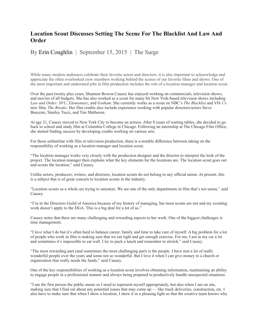### **Location Scout Discusses Setting The Scene For The Blacklist And Law And Order**

#### By Erin Coughlin| September 15, 2015 | The Surge

While many modern audiences celebrate their favorite actors and directors, it is also important to acknowledge and appreciate the often overlooked crew members working behind the scenes of our favorite films and shows. One of the most important and underrated jobs in film production includes the role of a location manager and location scout.

Over the past twenty plus years, Shannon Bowen Causey has enjoyed working on commercials, television shows, and movies of all budgets. She has also worked as a scout for many hit New York-based television shows including *Law and Order: SVU*, *Elementary*, and *Gotham*. She currently works as a scout on NBC's *The Blacklist* and VH-1's new film, *The Breaks*. Her film credits also include experience working with popular directors/actors Steve Buscemi, Stanley Tucci, and Tim Matheson.

At age 21, Causey moved to New York City to become an actress. After 8 years of waiting tables, she decided to go back to school and study film at Columbia College in Chicago. Following an internship at The Chicago Film Office, she started finding success by developing credits working on various sets.

For those unfamiliar with film or television production, there is a notable difference between taking on the responsibility of working as a location manager and location scout.

"The location manager works very closely with the production designer and the director to interpret the look of the project. The location manager then explains what the key elements for the locations are. The location scout goes out and scouts the location," said Causey.

Unlike actors, producers, writers, and directors, location scouts do not belong to any official union. At present, this is a subject that is of great concern to location scouts in the industry.

"Location scouts as a whole are trying to unionize. We are one of the only departments in film that's not union," said Causey.

"I'm in the Directors Guild of America because of my history of managing, but most scouts are not and my scouting work doesn't apply to the DGA. This is a big deal for a lot of us."

Causey notes that there are many challenging and rewarding aspects to her work. One of the biggest challenges is time management.

"I love what I do but it's often hard to balance career, family and time to take care of myself. A big problem for a lot of people who work in film is making sure that we eat right and get enough exercise. For me, I am in my car a lot and sometimes it's impossible to eat well. I try to pack a lunch and remember to stretch," said Causey.

"The most rewarding part (and sometimes the most challenging part) is the people. I have met a lot of really wonderful people over the years and some not so wonderful. But I love it when I can give money to a church or organization that really needs the funds," said Causey.

One of the key responsibilities of working as a location scout involves obtaining information, maintaining an ability to engage people in a professional manner and always being prepared to productively handle unexpected situations.

"I am the first person the public meets so I need to represent myself appropriately, but also when I am on site, making sure that I find out about any potential issues that may come up — like truck deliveries, construction, etc. I also have to make sure that when I show a location, I show it in a pleasing light so that the creative team knows why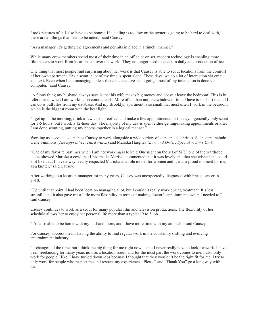I took pictures of it. I also have to be honest. If a ceiling is too low or the owner is going to be hard to deal with, these are all things that need to be noted," said Causey.

"As a manager, it's getting the agreements and permits in place in a timely manner."

While many crew members spend most of their time in an office or on set, modern technology is enabling more filmmakers to work from locations all over the world. They no longer need to check in daily at a production office.

One thing that most people find surprising about her work is that Causey is able to scout locations from the comfort of her own apartment. "As a scout, a lot of my time is spent alone. These days, we do a lot of interaction via email and text. Even when I am managing, unless there is a creative scout going, most of my interaction is done via computer," said Causey.

"A funny thing my husband always says is that his wife makes big money and doesn't leave the bedroom! This is in reference to when I am working on commercials. More often than not, the window of time I have is so short that all I can do is pull files from my database. And my Brooklyn apartment is so small that most often I work in the bedroom which is the biggest room with the best light."

"I get up in the morning, drink a few cups of coffee, and make a few appointments for the day. I generally only scout for 3-5 hours, but I work a 12-hour day. The majority of my day is spent either getting/making appointments or after I am done scouting, putting my photos together in a logical manner."

Working as a scout also enables Causey to work alongside a wide variety of stars and celebrities. Such stars include Gene Simmons (*The Apprentice*, *Third Watch*) and Mariska Hargitay (*Law and Order: Special Victims Unit*).

"One of my favorite pastimes when I am not working is to knit. One night on the set of *SVU*, one of the wardrobe ladies showed Mariska a cowl that I had made. Mariska commented that it was lovely and that she wished she could knit like that. I have always really respected Mariska as a role model for women and it was a proud moment for me, as a knitter," said Causey.

After working as a location manager for many years, Causey was unexpectedly diagnosed with breast cancer in 2010.

"Up until that point, I had been location managing a lot, but I couldn't really work during treatment. It's less stressful and it also gave me a little more flexibility in terms of making doctor's appointments when I needed to," said Causey.

Causey continues to work as a scout for many popular film and television productions. The flexibility of her schedule allows her to enjoy her personal life more than a typical 9 to 5 job.

"I'm also able to be home with my husband more, and I have more time with my animals," said Causey.

For Causey, success means having the ability to find regular work in the constantly shifting and evolving entertainment industry.

"It changes all the time, but I think the big thing for me right now is that I never really have to look for work. I have been freelancing for many years now as a location scout, and for the most part the work comes to me. I also only work for people I like. I have turned down jobs because I thought that they wouldn't be the right fit for me. I try to only work for people who respect me and respect my experience. "Please" and "Thank You" go a long way with me."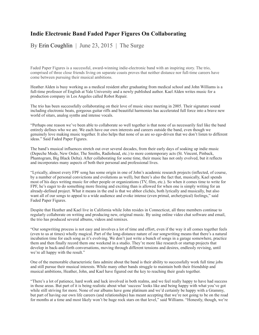## **Indie Electronic Band Faded Paper Figures On Collaborating**

By Erin Coughlin| June 23, 2015 | The Surge

Faded Paper Figures is a successful, award-winning indie-electronic band with an inspiring story. The trio, comprised of three close friends living on separate coasts proves that neither distance nor full-time careers have come between pursuing their musical ambitions.

Heather Alden is busy working as a medical resident after graduating from medical school and John Williams is a full-time professor of English at Yale University and a newly published author. Kael Alden writes music for a production company in Los Angeles called Robot Repair.

The trio has been successfully collaborating on their love of music since meeting in 2005. Their signature sound including electronic beats, gorgeous guitar riffs and beautiful harmonies has accelerated full force into a brave new world of sitars, analog synths and intense vocals.

"Perhaps one reason we've been able to collaborate so well together is that none of us necessarily feel like the band entirely defines who we are. We each have our own interests and careers outside the band, even though we genuinely love making music together. It also helps that none of us are so ego-driven that we don't listen to different ideas." Said Faded Paper Figures.

The band's musical influences stretch out over several decades, from their early days of soaking up indie music (Depeche Mode, New Order, The Smiths, Radiohead, etc.) to more contemporary acts (St. Vincent, Pinback, Phantogram, Big Black Delta). After collaborating for some time, their music has not only evolved, but it reflects and incorporates many aspects of both their personal and professional lives.

"Lyrically, almost every FPF song has some origin in one of John's academic research projects (inflected, of course, by a number of personal convictions and evolutions as well), but there's also the fact that, musically, Kael spends most of his days writing music for other people or organizations (TV, film, etc.). So when it comes time to write for FPF, he's eager to do something more freeing and exciting than is allowed for when one is simply writing for an already-defined project. What it means in the end is that we abhor clichés, both lyrically and musically, but also want all of our songs to appeal to a wide audience and evoke intense (even primal, archetypical) feelings," said Faded Paper Figures.

Despite that Heather and Kael live in California while John resides in Connecticut, all three members continue to regularly collaborate on writing and producing new, original music. By using online video chat software and email, the trio has produced several albums, videos and remixes.

"Our songwriting process is not easy and involves a lot of time and effort, even if the way it all comes together feels (even to us at times) wholly magical. Part of the long-distance nature of our songwriting means that there's a natural incubation time for each song as it's evolving. We don't just write a bunch of songs in a garage somewhere, practice them and then finally record them one weekend in a studio. They're more like research or startup projects that develop in back-and-forth conversations, moving through different tensions and desires, endlessly revising, until we're all happy with the result."

One of the memorable characteristic fans admire about the band is their ability to successfully work full time jobs and still pursue their musical interests. While many other bands struggle to maintain both their friendship and musical ambitions, Heather, John, and Kael have figured out the key to reaching their goals together.

"There's a lot of patience, hard work and luck involved in both realms, and we feel really happy to have had success in those areas. But part of it is being realistic about what 'success' looks like and being happy with what you've got while still striving for more. None of our albums have gone platinum and we'd certainly be happy with a Grammy, but part of having our own life careers (and relationships) has meant accepting that we're not going to be on the road for months at a time and most likely won't be huge rock stars on that level," said Williams. "Honestly, though, we're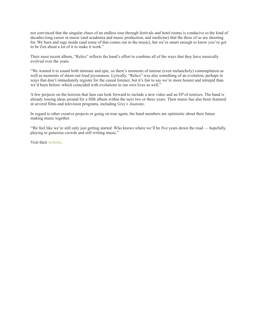not convinced that the singular chaos of an endless tour through festivals and hotel rooms is conducive to the kind of decades-long career in music (and academia and music production, and medicine) that the three of us are shooting for. We burn and rage inside (and some of that comes out in the music), but we're smart enough to know you've got to be Zen about a lot of it to make it work."

Their most recent album, "Relics" reflects the band's effort to combine all of the ways that they have musically evolved over the years.

"We wanted it to sound both intimate and epic, so there's moments of intense (even melancholy) contemplation as well as moments of shout-out-loud joyousness. Lyrically, "Relics" was also something of an evolution, perhaps in ways that don't immediately register for the casual listener, but it's fair to say we're more honest and intrepid than we'd been before–which coincided with evolutions in our own lives as well."

A few projects on the horizon that fans can look forward to include a new video and an EP of remixes. The band is already tossing ideas around for a fifth album within the next two or three years. Their music has also been featured in several films and television programs, including *Grey's Anatomy*.

In regard to other creative projects or going on tour again, the band members are optimistic about their future making music together.

"We feel like we're still only just getting started. Who knows where we'll be five years down the road — hopefully, playing to generous crowds and still writing music."

Visit their website.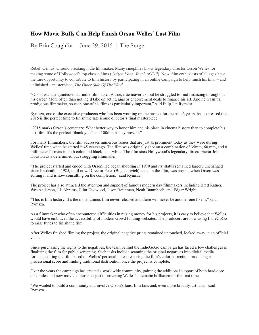## **How Movie Buffs Can Help Finish Orson Welles' Last Film**

By Erin Coughlin | June 29, 2015 | The Surge

Rebel. Genius. Ground breaking indie filmmaker. Many cinephiles know legendary director Orson Welles for making some of Hollywood's top classic films (*Citizen Kane, Touch of Evil*). Now, film enthusiasts of all ages have the rare opportunity to contribute to film history by participating in an online campaign to help finish his final – and unfinished – masterpiece, *The Other Side Of The Wind*.

"Orson was the quintessential indie filmmaker. A true, true maverick, but he struggled to find financing throughout his career. More often than not, he'd take on acting gigs or endorsement deals to finance his art. And he wasn't a prodigious filmmaker, so each one of his films is particularly important," said Filip Jan Rymsza.

Rymsza, one of the executive producers who has been working on the project for the past 6 years, has expressed that 2015 is the perfect time to finish the late iconic director's final masterpiece.

"2015 marks Orson's centenary. What better way to honor him and his place in cinema history than to complete his last film. It's the perfect "thank you" and 100th birthday present."

For many filmmakers, the film addresses numerous issues that are just as prominent today as they were during Welles' time when he started it 45 years ago. The film was originally shot on a combination of  $35 \text{mm}$ , 60 mm, and 8 millimeter formats in both color and black- and-white. The film stars Hollywood's legendary director/actor John Houston as a determined but struggling filmmaker.

"The project started and ended with Orson. He began shooting in 1970 and its' status remained largely unchanged since his death in 1985, until now. Director Peter (Bogdanovich) acted in the film, was around when Orson was editing it and is now consulting on the completion," said Rymsza.

The project has also attracted the attention and support of famous modern day filmmakers including Brett Ratner, Wes Anderson, J.J. Abrams, Clint Eastwood, Jason Reitnman, Noah Baumbach, and Edgar Wright.

"This is film history. It's the most famous film never released and there will never be another one like it," said Rymsza.

As a filmmaker who often encountered difficulties in raising money for his projects, it is easy to believe that Welles would have embraced the accessibility of modern crowd funding websites. The producers are now using IndieGoGo to raise funds to finish the film.

After Welles finished filming the project, the original negative prints remained untouched, locked away in an official vault.

Since purchasing the rights to the negatives, the team behind the IndieGoGo campaign has faced a few challenges in finalizing the film for public screening. Such tasks include scanning the original negatives into digital media formats, editing the film based on Welles' personal notes, restoring the film's color correction, producing a professional score and finding traditional distribution once the project is complete.

Over the years the campaign has created a worldwide community, gaining the additional support of both hard-core cinephiles and new movie enthusiasts just discovering Welles' cinematic brilliance for the first time.

"We wanted to build a community and involve Orson's fans, film fans and, even more broadly, art fans," said Rymsza.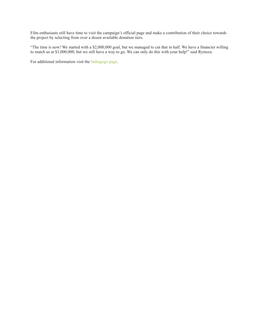Film enthusiasts still have time to visit the campaign's official page and make a contribution of their choice towards the project by selecting from over a dozen available donation tiers.

"The time is now! We started with a \$2,000,000 goal, but we managed to cut that in half. We have a financier willing to match us at \$1,000,000, but we still have a way to go. We can only do this with your help!" said Rymsza.

For additional information visit the Indiegogo page.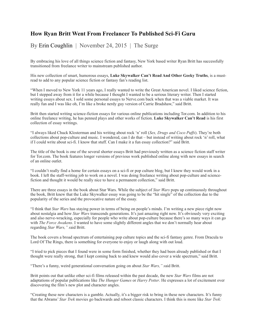## **How Ryan Britt Went From Freelancer To Published Sci-Fi Guru**

By Erin Coughlin | November 24, 2015 | The Surge

By embracing his love of all things science fiction and fantasy, New York based writer Ryan Britt has successfully transitioned from freelance writer to mainstream published author.

His new collection of smart, humorous essays, **Luke Skywalker Can't Read And Other Geeky Truths**, is a mustread to add to any popular science fiction or fantasy fan's reading list.

"When I moved to New York 11 years ago, I really wanted to write the Great American novel. I liked science fiction, but I stepped away from it for a while because I thought I wanted to be a serious literary writer. Then I started writing essays about sex. I sold some personal essays to Nerve.com back when that was a viable market. It was really fun and I was like oh, I'm like a broke nerdy guy version of Carrie Bradshaw," said Britt.

Britt then started writing science-fiction essays for various online publications including Tor.com. In addition to his online freelance writing, he has penned plays and other works of fiction. **Luke Skywalker Can't Read** is his first collection of essay writings.

"I always liked Chuck Klosterman and his writing about rock 'n' roll (*Sex, Drugs and Coco Puffs*). They're both collections about pop-culture and music. I wondered, can I do that – but instead of writing about rock 'n' roll, what if I could write about sci-fi. I know that stuff. Can I make it a fun essay collection?" said Britt.

The title of the book is one of the several shorter essays Britt had previously written as a science fiction staff writer for Tor.com. The book features longer versions of previous work published online along with new essays in search of an online outlet.

"I couldn't really find a home for certain essays on a sci-fi or pop culture blog, but I knew they would work in a book. I left the staff-writing job to work on a novel. I was doing freelance writing about pop-culture and sciencefiction and thought it would be really nice to have a permanent collection," said Britt.

There are three essays in the book about Star Wars. While the subject of *Star Wars* pops up continuously throughout the book, Britt knew that the Luke Skywalker essay was going to be the "hit single" of the collection due to the popularity of the series and the provocative nature of the essay.

"I think that *Star Wars* has staying power in terms of being on people's minds. I'm writing a new piece right now about nostalgia and how *Star Wars* transcends generations. It's just amazing right now. It's obviously very exciting and also nerve-wracking, especially for people who write about pop-culture because there's so many ways it can go with *The Force Awakens*. I wanted to have some slightly different angles that we don't normally hear about regarding *Star Wars," s*aid Britt.

The book covers a broad spectrum of entertaining pop culture topics and the sci-fi fantasy genre. From Dracula to Lord Of The Rings, there is something for everyone to enjoy or laugh along with out loud.

"I tried to pick pieces that I found were in some form finished, whether they had been already published or that I thought were really strong, that I kept coming back to and knew would also cover a wide spectrum," said Britt.

"There's a funny, weird generational conversation going on about *Star Wars," s*aid Britt.

Britt points out that unlike other sci-fi films released within the past decade, the new *Star Wars* films are not adaptations of popular publications like *The Hunger Games* or *Harry Potter*. He expresses a lot of excitement over discovering the film's new plot and character angles.

"Creating these new characters is a gamble. Actually, it's a bigger risk to bring in these new characters. It's funny that the Abrams' *Star Trek* movies go backwards and reboot classic characters. I think this is more like *Star Trek:*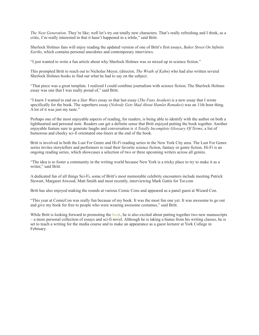*The Next Generation*. They're like; well let's try out totally new characters. That's really refreshing and I think, as a critic, I'm really interested in that it hasn't happened in a while," said Britt.

Sherlock Holmes fans will enjoy reading the updated version of one of Britt's first essays, *Baker Street On Infinite Earths*, which contains personal anecdotes and contemporary interviews.

"I just wanted to write a fun article about why Sherlock Holmes was so mixed up in science fiction."

This prompted Britt to reach out to Nicholas Meyer, (director, *The Wrath of Kahn*) who had also written several Sherlock Holmes books to find out what he had to say on the subject.

"That piece was a great template. I realized I could combine journalism with science fiction. The Sherlock Holmes essay was one that I was really proud of," said Britt.

"I knew I wanted to end on a *Star Wars* essay so that last essay (*The Fans Awaken*) is a new essay that I wrote specifically for the book. The superhero essay (*Nobody Gets Mad About Hamlet Remakes*) was an 11th hour thing. A lot of it was just my taste."

Perhaps one of the most enjoyable aspects of reading, for readers, is being able to identify with the author on both a lighthearted and personal note. Readers can get a definite sense that Britt enjoyed putting the book together. Another enjoyable feature sure to generate laughs and conversation is *A Totally Incomplete Glossary Of Terms*; a list of humorous and cheeky sci-fi orientated one-liners at the end of the book.

Britt is involved in both the Lust For Genre and Hi-Fi reading series in the New York City area. The Lust For Genre series invites storytellers and performers to read their favorite science fiction, fantasy or genre fiction. Hi-Fi is an ongoing reading series, which showcases a selection of two or three upcoming writers across all genres.

"The idea is to foster a community in the writing world because New York is a tricky place to try to make it as a writer," said Britt.

A dedicated fan of all things Sci-Fi, some of Britt's most memorable celebrity encounters include meeting Patrick Stewart, Margaret Atwood, Matt Smith and most recently, interviewing Mark Gattis for Tor.com

Britt has also enjoyed making the rounds at various Comic Cons and appeared as a panel guest at Wizard Con.

"This year at ComicCon was really fun because of my book. It was the most fun one yet. It was awesome to go out and give my book for free to people who were wearing awesome costumes," said Britt.

While Britt is looking forward to promoting the book, he is also excited about putting together two new manuscripts – a more personal collection of essays and sci-fi novel. Although he is taking a hiatus from his writing classes, he is set to teach a writing for the media course and to make an appearance as a guest lecturer at York College in February.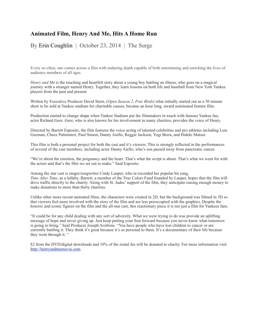## **Animated Film, Henry And Me, Hits A Home Run**

By Erin Coughlin | October 23, 2014 | The Surge

Every so often, one comes across a film with enduring depth capable of both entertaining and enriching the lives of audience members of all ages.

*Henry and Me* is the touching and heartfelt story about a young boy battling an illness, who goes on a magical journey with a stranger named Henry. Together, they learn lessons on both life and baseball from New York Yankee players from the past and present.

Written by Executive Producer David Stern, (*Open Season 2, Free Birds*) what initially started out as a 30 minute short to be sold at Yankee stadium for charitable causes, became an hour long, award nominated feature film.

Production started to change shape when Yankee Stadium put the filmmakers in touch with famous Yankee fan, actor Richard Gere. Gere, who is also known for his involvement in many charities, provides the voice of Henry.

Directed by Barrett Esposito, the film features the voice acting of talented celebrities and pro athletes including Luis Guzman, Chazz Palminteri, Paul Simon, Danny Aiello, Reggie Jackson, Yogi Berra, and Hideki Matsui.

This film is both a personal project for both the cast and it's viewers. This is strongly reflected in the performances of several of the cast members, including actor Danny Aiello, who's son passed away from pancreatic cancer.

"We're about the emotion, the poignancy and the heart. That's what the script is about. That's what we went for with the actors and that's the film we set out to make." Said Esposito.

Among the star cast is singer/songwriter Cindy Lauper, who re-recorded her popular hit song, *Time After Time*, as a lullaby. Barrett, a member of the True Colors Fund founded by Lauper, hopes that the film will drive traffic directly to the charity. Along with St. Judes' support of the film, they anticipate raising enough money to make donations to more than thirty charities.

Unlike other more recent animated films, the characters were created in 2D, but the background was filmed in 3D so that viewers feel more involved with the story of the film and are less preoccupied with the graphics. Despite the historic and iconic figures on the film and the all-star cast, this reactionary piece it is not just a film for Yankees fans.

"It could be for any child dealing with any sort of adversity. What we were trying to do was provide an uplifting message of hope and never giving up. Just keep putting your foot forward because you never know what tomorrow is going to bring." Said Producer Joseph Avallone. "You have people who have lost children to cancer or are currently battling it. They think it's great because it's so personal to them. It's a documentary of their life because they went through it. "

\$2 from the DVD/digital downloads and 10% of the rental fee will be donated to charity. For more information visit <http://henryandmemovie.com>.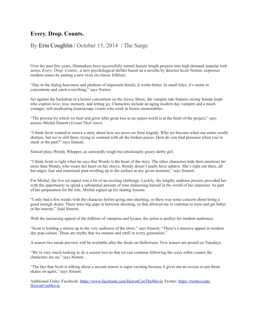## **Every. Drop. Counts.**

#### By Erin Coughlin | October 15, 2014 | The Surge

Over the past few years, filmmakers have successfully turned feature length projects into high demand, popular web series. *Every. Drop. Counts*., a new psychological thriller based on a novella by director Scott Norton, expresses modern issues by putting a new twist on classic folklore.

"Due to the dialog heaviness and plethora of important details, it works better. In small bites, it's easier to concentrate and catch everything," says Norton.

Set against the backdrop of a horror convention on the Jersey Shore, the vampire tale features strong female leads who explore love, loss, memory, and letting go. Characters include an aging modern day vampire and a much younger, self-medicating trauma/rape victim who work in horror memorabilia.

"The process by which we heal and grow after great loss in an unjust world is at the heart of the project," says actress Michal Sinnott (*Grand Theft Auto*).

"I think Scott wanted to weave a story about how we move on from tragedy. Who we become when our entire world shatters, but we're still there, trying to contend with all the broken pieces. How do you find presence when you're stuck in the past?" says Sinnott.

Sinnott plays Wendy Whipper, an outwardly tough but emotionally gooey derby girl.

"I think Scott is right when he says that Wendy is the heart of the story. The other characters hide their emotions far more than Wendy, who wears her heart on her sleeve. Wendy doesn't really have subtext. She's right out there, all her anger, fear and emotional pain swelling up to the surface at any given moment," says Sinnott.

For Michal, the live set aspect was a bit of an exciting challenge. Luckily, the lengthy audition process provided her with the opportunity to spend a substantial amount of time immersing herself in the world of her character. As part of her preparation for the role, Michal signed up for skating lessons.

"I only had a few weeks with the character before going into shooting, so there was some concern about being a good enough skater. There were big gaps in between shooting, so that allowed me to continue to train and get better in the interim." Said Sinnott.

With the increasing appeal of the folklore of vampires and lycans, the series is perfect for modern audiences.

"Scott is holding a mirror up to the very audience of the show," says Sinnott, "There's a massive appeal in modern day pop-culture. These are myths that we rename and retell in every generation."

A season two sneak preview will be available after the finale on Halloween. New teasers are posted on Tuesdays.

"We're very much looking to do a season two so that we can continue following the crazy roller coaster the characters are on," says Norton.

"The fact that Scott is talking about a second season is super exciting because it gives me an excuse to put those skates on again," says Sinnott.

Additional Links: Facebook:<https://www.facebook.com/HorrorConTheMovie> Twitter: [https://twitter.com/](https://twitter.com/HorrorConMovie) [HorrorConMovie](https://twitter.com/HorrorConMovie)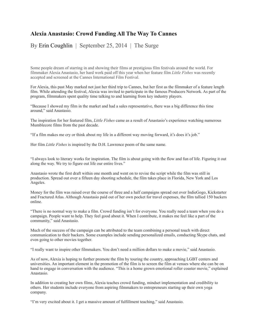## **Alexia Anastasio: Crowd Funding All The Way To Cannes**

By Erin Coughlin | September 25, 2014 | The Surge

Some people dream of starring in and showing their films at prestigious film festivals around the world. For filmmaker Alexia Anastasio, her hard work paid off this year when her feature film *Little Fishes* was recently accepted and screened at the Cannes International Film Festival.

For Alexia, this past May marked not just her third trip to Cannes, but her first as the filmmaker of a feature length film. While attending the festival, Alexia was invited to participate in the famous Producers Network. As part of the program, filmmakers spent quality time talking to and learning from key industry players.

"Because I showed my film in the market and had a sales representative, there was a big difference this time around," said Anastasio.

The inspiration for her featured film, *Little Fishes* came as a result of Anastasio's experience watching numerous Mumblecore films from the past decade.

"If a film makes me cry or think about my life in a different way moving forward, it's does it's job."

Her film *Little Fishes* is inspired by the D.H. Lawrence poem of the same name.

"I always look to literary works for inspiration. The film is about going with the flow and fun of life. Figuring it out along the way. We try to figure out life our entire lives."

Anastasio wrote the first draft within one month and went on to revise the script while the film was still in production. Spread out over a fifteen day shooting schedule, the film takes place in Florida, New York and Los Angeles.

Money for the film was raised over the course of three and a half campaigns spread out over IndieGogo, Kickstarter and Fractured Atlas. Although Anastasio paid out of her own pocket for travel expenses, the film tallied 150 backers online.

"There is no normal way to make a film. Crowd funding isn't for everyone. You really need a team when you do a campaign. People want to help. They feel good about it. When I contribute, it makes me feel like a part of the community," said Anastasio.

Much of the success of the campaign can be attributed to the team combining a personal touch with direct communication to their backers. Some examples include sending personalized emails, conducting Skype chats, and even going to other movies together.

"I really want to inspire other filmmakers. You don't need a million dollars to make a movie," said Anastasio.

As of now, Alexia is hoping to further promote the film by touring the country, approaching LGBT centers and universities. An important element in the promotion of the film is to screen the film at venues where she can be on hand to engage in conversation with the audience. "This is a home grown emotional roller coaster movie," explained Anastasio.

In addition to creating her own films, Alexia teaches crowd funding, mindset implementation and credibility to others. Her students include everyone from aspiring filmmakers to entrepreneurs starting up their own yoga company.

"I'm very excited about it. I get a massive amount of fulfillment teaching," said Anastasio.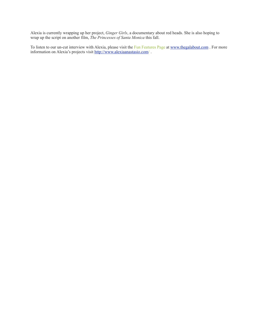Alexia is currently wrapping up her project, *Ginger Girls*, a documentary about red heads. She is also hoping to wrap up the script on another film, *The Princesses of Santa Monica* this fall.

To listen to our un-cut interview with Alexia, please visit the Fun Features Page at [www.thegalabout.com](http://www.thegalabout.com). For more information on Alexia's projects visit<http://www.alexiaanastasio.com>/ .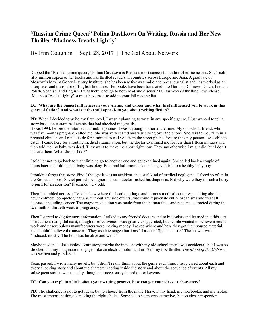## **"Russian Crime Queen" Polina Dashkova On Writing, Russia and Her New Thriller 'Madness Treads Lightly'**

#### By Erin Coughlin | Sept. 28, 2017 | The Gal About Network

Dubbed the "Russian crime queen," Polina Dashkova is Russia's most successful author of crime novels. She's sold fifty million copies of her books and has thrilled readers in countries across Europe and Asia. A graduate of Moscow's Maxim Gorky Literary Institute, she has been active as a radio and press journalist and has worked as an interpreter and translator of English literature. Her books have been translated into German, Chinese, Dutch, French, Polish, Spanish, and English. I was lucky enough to both read and discuss Ms. Dashkova's thrilling new release, ['Madness Treads Lightly'](https://www.amazon.com/Madness-Treads-Lightly-Polina-Dashkova/dp/1477823468), a must have read to add to your fall reading list.

#### **EC: What are the biggest influences in your writing and career and what first influenced you to work in this genre of fiction? And what is it that still appeals to you about writing fiction?**

**PD:** When I decided to write my first novel, I wasn't planning to write in any specific genre. I just wanted to tell a story based on certain real events that had shocked me greatly.

It was 1994, before the Internet and mobile phones. I was a young mother at the time. My old school friend, who was five months pregnant, called me. She was very scared and was crying over the phone. She said to me, "I'm in a prenatal clinic now. I ran outside for a minute to call you from the street phone. You're the only person I was able to catch! I came here for a routine medical examination, but the doctor examined me for less than fifteen minutes and then told me my baby was dead. They want to make me abort right now. They say otherwise I might die, but I don't believe them. What should I do?"

I told her not to go back to that clinic, to go to another one and get examined again. She called back a couple of hours later and told me her baby was okay. Four and half months later she gave birth to a healthy baby boy.

I couldn't forget that story. First I thought it was an accident, the usual kind of medical negligence I faced so often in the Soviet and post-Soviet periods. An ignorant scum doctor rushed his diagnosis. But why were they in such a hurry to push for an abortion? It seemed very odd.

Then I stumbled across a TV talk show where the head of a large and famous medical center was talking about a new treatment, completely natural, without any side effects, that could rejuvenate entire organisms and treat all diseases, including cancer. The magic medication was made from the human fetus and placenta extracted during the twentieth to thirtieth week of pregnancy.

Then I started to dig for more information. I talked to my friends' doctors and to biologists and learned that this sort of treatment really did exist, though its effectiveness was greatly exaggerated, but people wanted to believe it could work and unscrupulous manufacturers were making money. I asked where and how they got their source material and couldn't believe the answer: "They use late-stage abortions." I asked: "Spontaneous?" The answer was: "Induced, mostly. The fetus has be alive and well."

Maybe it sounds like a tabloid scare story, maybe the incident with my old school friend was accidental, but I was so shocked that my imagination engaged like an electric motor, and in 1996 my first thriller, *The Blood of the Unborn,* was written and published.

Years passed. I wrote many novels, but I didn't really think about the genre each time. I truly cared about each and every shocking story and about the characters acting inside the story and about the sequence of events. All my subsequent stories were usually, though not necessarily, based on real events.

#### **EC: Can you explain a little about your writing process, how you get your ideas or characters?**

**PD:** The challenge is not to get ideas, but to choose from the many I have in my head, my notebooks, and my laptop. The most important thing is making the right choice. Some ideas seem very attractive, but on closer inspection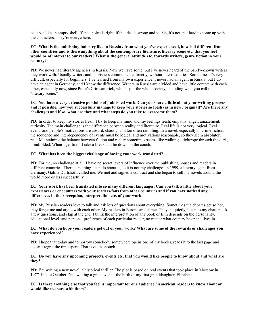collapse like an empty shell. If the choice is right, if the idea is strong and viable, it's not that hard to come up with the characters. They're everywhere.

#### **EC: What is the publishing industry like in Russia / from what you've experienced, how is it different from other countries and is there anything about the contemporary literature, literary scene etc. that you feel would be of interest to our readers? What is the general attitude etc. towards writers, genre fiction in your country?**

**PD:** We never had literary agencies in Russia. Now we have some, but I've never heard of the barely-known writers they work with. Usually writers and publishers communicate directly, without intermediaries. Sometimes it's very difficult, especially for beginners. I've learned from my own experience. I never had an agent in Russia, but I do have an agent in Germany, and I know the difference. Writers in Russia are divided and have little contact with each other, especially now, since Putin's Crimean trick, which split the whole society, including what you call the "literary scene."

#### **EC: You have a very extensive portfolio of published work. Can you share a little about your writing process and if possible, how you successfully manage to keep your stories so fresh (as in new / original)? Are there any challenges and if so, what are they and what steps do you take to overcome them?**

**PD:** In order to keep my stories fresh, I try to keep my mind and my feelings fresh: empathy, anger, amazement, curiosity. The main challenge is the difference between reality and literature. Real life is not very logical. Real events and people's motivations are absurd, chaotic, and too often rambling. In a novel, especially in crime fiction, the sequence and interdependency of events must be logical and motivations reasonable, so they seem absolutely real. Maintaining the balance between fiction and reality sometimes seems like walking a tightrope through the dark, blindfolded. When I get tired, I take a break and lie down on the couch.

#### **EC: What has been the biggest challenge of having your work translated?**

**PD:** For me, no challenge at all. I have no secret levers of influence over the publishing houses and readers in different countries. There is nothing I can do about it, so it is not my challenge. In 1999, a literary agent from Germany, Galina Durtshoff, called me. We met and signed a contract and she began to sell my novels around the world more or less successfully.

#### **EC: Your work has been translated into so many different languages. Can you talk a little about your experiences or encounters with your readers/fans from other countries and if you have noticed any differences in their reception, interpretation etc. of your work.**

**PD:** My Russian readers love to talk and ask lots of questions about everything. Sometimes the debates get so hot, they forget me and argue with each other. My readers in Europe are calmer. They sit quietly, listen to my chatter, ask a few questions, and clap at the end. I think the interpretation of any book or film depends on the personality, educational level, and personal preference of each particular reader, no matter what country he or she lives in.

#### **EC: What do you hope your readers get out of your work? What are some of the rewards or challenges you have experienced?**

**PD:** I hope that today and tomorrow somebody somewhere opens one of my books, reads it to the last page and doesn't regret the time spent. That is quite enough.

#### **EC: Do you have any upcoming projects, events etc. that you would like people to know about and what are they?**

**PD:** I'm writing a new novel, a historical thriller. The plot is based on real events that took place in Moscow in 1977. In late October I'm awaiting a great event – the birth of my first granddaughter, Elizabeth.

#### **EC: Is there anything else that you feel is important for our audience / American readers to know about or would like to share with them?**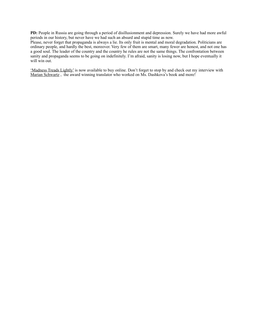**PD:** People in Russia are going through a period of disillusionment and depression. Surely we have had more awful periods in our history, but never have we had such an absurd and stupid time as now.

Please, never forget that propaganda is always a lie. Its only fruit is mental and moral degradation. Politicians are ordinary people, and hardly the best, moreover. Very few of them are smart, many fewer are honest, and not one has a good soul. The leader of the country and the country he rules are not the same things. The confrontation between sanity and propaganda seems to be going on indefinitely. I'm afraid, sanity is losing now, but I hope eventually it will win out.

['Madness Treads Lightly'](https://www.amazon.com/Madness-Treads-Lightly-Polina-Dashkova/dp/1477823468) is now available to buy online. Don't forget to stop by and check out my interview with Marian Schwartz, the award winning translator who worked on Ms. Dashkova's book and more!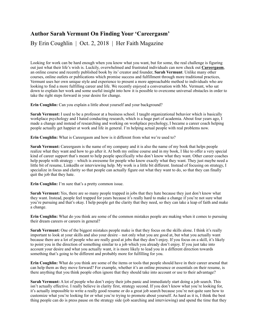## **Author Sarah Vermunt On Finding Your 'Careergasm'**

By Erin Coughlin | Oct. 2, 2018 | Her Faith Magazine

Looking for work can be hard enough when you know what you want, but for some, the real challenge is figuring out just what their life's wish is. Luckily, overwhelmed and frustrated individuals can now check out **[Careergasm](http://www.careergasm.com/)**, an online course and recently published book by its' creator and founder, **Sarah Vermunt**. Unlike many other courses, online outlets or publications which promise success and fulfillment through more traditional practices, Vermunt uses her own unique style and experience to present a more approachable method to individuals who are looking to find a more fulfilling career and life. We recently enjoyed a conversation with Ms. Vermunt, who sat down to explain her work and some useful insight into how it is possible to overcome universal obstacles in order to take the right steps forward in your desire for change.

**Erin Coughlin:** Can you explain a little about yourself and your background?

**Sarah Vermunt:** I used to be a professor at a business school. I taught organizational behavior which is basically workplace psychology and I hated conducting research, which is a huge part of academia. About four years ago, I made a change and instead of researching and working on workplace psychology, I became a career coach helping people actually get happier at work and life in general. I'm helping actual people with real problems now.

**Erin Coughlin:** What is Careergasm and how is it different from what we're used to?

**Sarah Vermunt:** Careergasm is the name of my company and it is also the name of my book that helps people realize what they want and how to go after it. At both my online course and in my book, I like to offer a very special kind of career support that's meant to help people specifically who don't know what they want. Other career coaches help people with strategy – which is awesome for people who know exactly what they want. They just maybe need a little bit of resume, LinkedIn or interviewing help. My work is a little bit different. Instead of focusing on strategy, I specialize in focus and clarity so that people can actually figure out what they want to do, so that they can finally quit the job that they hate.

**Erin Coughlin:** I'm sure that's a pretty common issue.

**Sarah Vermunt:** Yes, there are so many people trapped in jobs that they hate because they just don't know what they want. Instead, people feel trapped for years because it's really hard to make a change if you're not sure what you're pursuing and that's okay. I help people get the clarity that they need, so they can take a leap of faith and make a change.

**Erin Coughlin:** What do you think are some of the common mistakes people are making when it comes to pursuing their dream careers or careers in general?

**Sarah Vermunt:** One of the biggest mistakes people make is that they focus on the skills alone. I think it's really important to look at your skills and also your desire – not only what you are good at, but what you actually want because there are a lot of people who are really good at jobs that they don't enjoy. If you focus on a skill, it's likely to point you in the direction of something similar to a job which you already don't enjoy. If you just take into account your desire and what you actually want, it is more likely to lead you in a different direction towards something that's going to be different and probably more for fulfilling for you.

**Erin Coughlin:** What do you think are some of the items or tools that people should have in their career arsenal that can help them as they move forward? For example, whether it's an online presence or essentials on their resume, is there anything that you think people often ignore that they should take into account or use to their advantage?

**Sarah Vermunt:** A lot of people who don't enjoy their jobs panic and immediately start doing a job search. This isn't actually effective. I really believe in clarity first, strategy second. If you don't know what you're looking for, it's actually impossible to write a really good resume or do a great job search because you're not quite sure how to customize what you're looking for or what you're trying to promote about yourself. As hard as it is, I think the best thing people can do is press pause on the strategy side (job searching and interviewing) and spend the time that they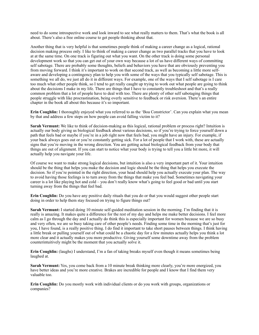need to do some introspective work and look inward to see what really matters to them. That's what the book is all about. There's also a free online course to get people thinking about that.

Another thing that is very helpful is that sometimes people think of making a career change as a logical, rational decision making process only. I like to think of making a career change as two parallel tracks that you have to look at at the same time. On one track is figuring out what you want. On the other track is doing some personal development work so that you can get out of your own way because a lot of us have different ways of committing self sabotage. There are probably some thoughts, beliefs and behaviors you have that are obviously preventing you from moving forward. I think it's important to work on that second track, as well as becoming a little more selfaware and developing a contingency plan to help you with some of the ways that you typically self sabotage. This is something we all do, we just all do it in different ways. For example, one of the ways that I self sabotage is I care too much what other people think, so I tend to get really caught up trying to work out what people are going to think about the decisions I make in my life. There are things that I have to constantly troubleshoot and that's a really common problem that a lot of people have to deal with too. There are plenty of other self sabotaging things that people struggle with like procrastination, being overly sensitive to feedback or risk aversion. There's an entire chapter in the book all about this because it's so important.

**Erin Coughlin:** I thoroughly enjoyed what you referred to as the 'Boa Constrictor'. Can you explain what you mean by that and address a few steps on how people can avoid falling victim to it?

**Sarah Vermunt:** We like to think of decision-making as this logical, rational problem or process right? Intuition is actually our body giving us biological feedback about various decisions, so if you're trying to force yourself down a path that feels bad or maybe if you're in a job right now that feels bad, you might have an injury. For example, if your back always goes out or you're constantly getting sick. For a lot of people that I work with, these are actually signs that you're moving in the wrong direction. You are getting actual biological feedback from your body that things are out of alignment. If you can start to notice what your body is trying to tell you a little bit more, it will actually help you navigate your life.

Of course we want to make strong logical decisions, but intuition is also a very important part of it. Your intuition should be the thing that helps you make the decision and logic should be the thing that helps you execute the decision. So if you're pointed in the right direction, your head should help you actually execute your plan. The way to avoid having those feelings is to turn away from the things that make you feel bad. Sometimes navigating your career is a lot like playing hot and cold – you don't really know what's going to feel good or bad until you start turning away from the things that feel bad.

**Erin Coughlin:** Do you have any positive daily rituals that you do or that you would suggest other people start doing in order to help them stay focused on trying to figure things out?

**Sarah Vermunt:** I started doing 10 minute self-guided meditation session in the morning. I'm finding that it is really is amazing. It makes quite a difference for the rest of my day and helps me make better decisions. I feel more calm as I go through the day and I actually do think this is especially important for women because we are so busy and very often, we are so busy taking care of other people's needs. Finding some time in the morning that's just for you, I have found, is a really positive thing. I do find it important to take short pauses between things. I think having a little break or pulling yourself out of what could be a chaotic day for a few minutes actually helps you think a lot more clear and it actually makes you more productive. Giving yourself some downtime away from the problem counterintuitively might be the moment that you actually solve it.

**Erin Coughlin:** (laughs) I understand, I'm a fan of taking breaks myself even though it means sometimes being laughed at.

**Sarah Vermunt:** Yes, you come back from a 10 minute break thinking more clearly, you're more energized, you have better ideas and you're more creative. Brakes are incredible for people and I know that I find them very valuable too.

**Erin Coughlin:** Do you mostly work with individual clients or do you work with groups, organizations or companies?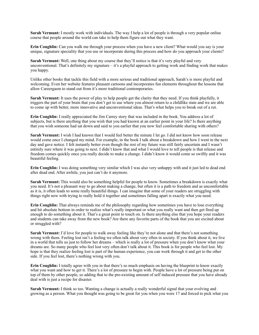**Sarah Vermunt:** I mostly work with individuals. The way I help a lot of people is through a very popular online course that people around the world can take to help them figure out what they want.

**Erin Coughlin:** Can you walk me through your process when you have a new client? What would you say is your unique, signature speciality that you use or incorporate during this process and how do you approach your clients?

**Sarah Vermunt:** Well, one thing about my course that they'll notice is that it's very playful and very unconventional. That's definitely my signature – it's a playful approach to getting work and finding work that makes you happy.

Unlike other books that tackle this field with a more serious and traditional approach, Sarah's is more playful and welcoming. Even her website features pleasant cartoons and incorporates fun elements throughout the lessons that allow Careergasm to stand out from it's more traditional contemporaries.

**Sarah Vermunt:** It uses the power of play to help people get the clarity that they need. If you think playfully, it triggers the part of your brain that you don't get to use where you almost return to a childlike state and we are able to come up with better, more innovative and unconventional ideas. That's what helps you to break out of a rut.

**Erin Coughlin:** I really appreciated the Jim Carrey story that was included in the book. You address a lot of subjects, but is there anything that you wish that you had known at an earlier point in your life? Is there anything that you wish someone had sat down and said to you earlier that you now feel comfortable sharing with others?

**Sarah Vermunt:** I wish I had known that I would feel better the minute I let go. I did not know how soon release would come once I changed my mind. For example, in the book I talk about a breakdown and how I went in the next day and gave notice. I felt instantly better even though the rest of my future was still fairly uncertain and I wasn't entirely sure where it was going to next. I didn't know that and what I would love to tell people is that release and freedom comes quickly once you really decide to make a change. I didn't know it would come so swiftly and it was beautiful feeling.

**Erin Coughlin:** I was doing something very similar which I was also very unhappy with and it just led to dead end after dead end. After awhile, you just can't do it anymore.

**Sarah Vermunt:** This would also be something helpful for people to know. Sometimes a breakdown is exactly what you need. It's not a pleasant way to go about making a change, but often it is a path to freedom and as uncomfortable as it is, it often leads to some really beautiful things. I can imagine that some of your readers are struggling with things right now with trying to really hold it together and sometimes falling apart is exactly what you need.

**Erin Coughlin:** That always reminds me of the philosophy regarding how sometimes you have to lose everything and hit absolute bottom in order to realize what's really important or what you really want and then get fired up enough to do something about it. That's a great point to touch on. Is there anything else that you hope your readers and students can take away from the new book? Are there any favorite parts of the book that you are excited about or struggled with?

**Sarah Vermunt:** I'd love for people to walk away feeling like they're not alone and that there's not something wrong with them. Feeling lost isn't a feeling we often talk about very often in society. If you think about it, we live in a world that tells us just to follow her dreams – which is really a lot of pressure when you don't know what your dreams are. So many people who feel lost very often don't talk about it. This book is for people who feel lost. My hope is that they realize feeling lost is part of the human experience, you can work through it and get to the other side. If you feel lost, there's nothing wrong with you.

**Erin Coughlin:** I totally agree with you in that there's so much emphasis on having the blueprint to know exactly what you want and how to get it. There's a lot of pressure to begin with. People have a lot of pressure being put on top of them by other people, so adding that to the pre-existing amount of self induced pressure that you have already deal with is just a recipe for disaster.

**Sarah Vermunt:** I think so too. Wanting a change is actually a really wonderful signal that your evolving and growing as a person. What you thought was going to be great for you when you were 17 and forced to pick what you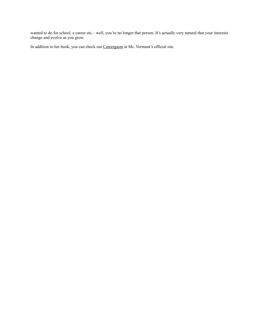wanted to do for school, a career etc.– well, you're no longer that person. It's actually very natural that your interests change and evolve as you grow.

In addition to her book, you can check out [Careergasm](http://www.careergasm.com/) at Ms. Vermunt's official site.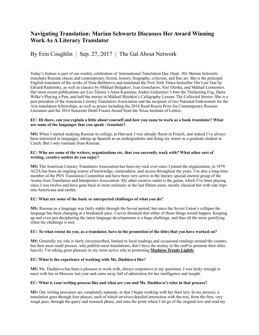## **Navigating Translation: Marian Schwartz Discusses Her Award Winning Work As A Literary Translator**

## By Erin Coughlin | Sep. 27, 2017 | The Gal About Network

Today's feature is part of our weekly celebration of International Translation Day (Sept. 30). Marian Schwartz translates Russian classic and contemporary fiction, history, biography, criticism, and fine art. She is the principal English translator of the works of Nina Berberova and translated the New York Times bestseller The Last Tsar by Edvard Radzinsky, as well as classics by Mikhail Bulgakov, Ivan Goncharov, Yuri Olesha, and Mikhail Lermontov. Her most recent publications are Leo Tolstoy's Anna Karenina, Andrei Gelasimov's Into the Thickening Fog, Daria Wilke's Playing a Part, and half the stories in Mikhail Shishkin's Calligraphy Lesson: The Collected Stories. She is a past president of the American Literary Translators Association and the recipient of two National Endowment for the Arts translation fellowships, as well as prizes including the 2014 Read Russia Prize for Contemporary Russian Literature and the 2016 Soeurette Diehl Frasier Award from the Texas Institute of Letters.

#### **EC: Hi there, can you explain a little about yourself and how you came to work as a book translator? What are some of the languages that you speak / translate?**

**MS:** When I started studying Russian in college, at Harvard, I was already fluent in French, and indeed I've always been interested in languages, taking up Spanish as an undergraduate and doing my minor as a graduate student in Czech. But I only translate from Russian.

#### **EC: Who are some of the writers, organizations etc. that you currently work with? What other sort of writing, creative outlets do you enjoy?**

**MS:** The American Literary Translators Association has been my rock ever since I joined the organization, in 1979. ALTA has been an ongoing source of knowledge, camaraderie, and access throughout the years. I'm also a long-time member of the PEN Translation Committee and have been very active in the literary special interest group of the Austin Area Translators and Interpreters Association. My other creative outlet is the guitar, which I've been playing since I was twelve and have gone back to more seriously in the last fifteen years, mostly classical but with side trips into Americana and samba.

#### **EC: What are some of the basic or unexpected challenges of what you do?**

**MS:** Russian as a language was fairly stable through the Soviet period, but since the Soviet Union's collapse the language has been changing at a breakneck pace. I never dreamed that either of those things would happen. Keeping up and even just deciphering the latest language developments is a huge challenge, and thus all the more gratifying when the challenge is met.

#### **EC: To what extent do you, as a translator, have in the promotion of the titles that you have worked on?**

**MS:** Generally my role is fairly circumscribed, limited to local readings and occasional readings around the country, but then most small presses, who publish most translations, don't have the money or the staff to promote their titles heavily. I'm taking great pleasure in my more active role in promoting **[Madness Treads Lightly](https://www.amazon.com/Madness-Treads-Lightly-Polina-Dashkova/dp/1477823468)**.

#### **EC: What is the experience of working with Ms. Dashkova like?**

**MS:** Ms. Dashkova has been a pleasure to work with, always responsive to my questions. I was lucky enough to meet with her in Moscow last year and came away full of admiration for her intelligence and insight.

#### **EC: What is your writing process like and what are you and Ms. Dashkova's roles in that process?**

**MS:** Our writing processes are completely separate, in that I begin working with her final text. In my process, a translation goes through four phases, each of which involves detailed interaction with the text, from the first, very rough pass, through the query and research phase, and onto the point where I let go of the original text and read my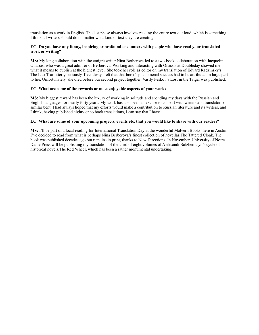translation as a work in English. The last phase always involves reading the entire text out loud, which is something I think all writers should do no matter what kind of text they are creating.

#### **EC: Do you have any funny, inspiring or profound encounters with people who have read your translated work or writing?**

**MS:** My long collaboration with the émigré writer Nina Berberova led to a two-book collaboration with Jacqueline Onassis, who was a great admirer of Berberova. Working and interacting with Onassis at Doubleday showed me what it means to publish at the highest level. She took her role as editor on my translation of Edvard Radzinsky's The Last Tsar utterly seriously. I've always felt that that book's phenomenal success had to be attributed in large part to her. Unfortunately, she died before our second project together, Vasily Peskov's Lost in the Taiga, was published.

#### **EC: What are some of the rewards or most enjoyable aspects of your work?**

**MS:** My biggest reward has been the luxury of working in solitude and spending my days with the Russian and English languages for nearly forty years. My work has also been an excuse to consort with writers and translators of similar bent. I had always hoped that my efforts would make a contribution to Russian literature and its writers, and I think, having published eighty or so book translations, I can say that I have.

#### **EC: What are some of your upcoming projects, events etc. that you would like to share with our readers?**

**MS:** I'll be part of a local reading for International Translation Day at the wonderful Malvern Books, here in Austin. I've decided to read from what is perhaps Nina Berberova's finest collection of novellas,The Tattered Cloak. The book was published decades ago but remains in print, thanks to New Directions. In November, University of Notre Dame Press will be publishing my translation of the third of eight volumes of Aleksandr Solzhenitsyn's cycle of historical novels,The Red Wheel, which has been a rather monumental undertaking.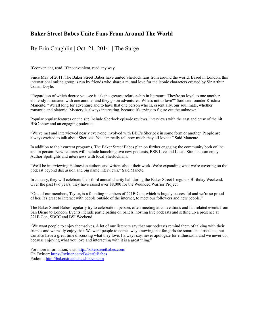## **Baker Street Babes Unite Fans From Around The World**

## By Erin Coughlin | Oct. 21, 2014 | The Surge

If convenient, read. If inconvenient, read any way.

Since May of 2011, The Baker Street Babes have united Sherlock fans from around the world. Based in London, this international online group is run by friends who share a mutual love for the iconic characters created by Sir Arthur Conan Doyle.

"Regardless of which degree you see it, it's the greatest relationship in literature. They're so loyal to one another, endlessly fascinated with one another and they go on adventures. What's not to love?" Said site founder Kristina Manente. "We all long for adventure and to have that one person who is, essentially, our soul mate, whether romantic and platonic. Mystery is always interesting, because it's trying to figure out the unknown."

Popular regular features on the site include Sherlock episode reviews, interviews with the cast and crew of the hit BBC show and an engaging podcasts.

"We've met and interviewed nearly everyone involved with BBC's Sherlock in some form or another. People are always excited to talk about Sherlock. You can really tell how much they all love it." Said Manente.

In addition to their current programs, The Baker Street Babes plan on further engaging the community both online and in person. New features will include launching two new podcasts, BSB Live and Local. Site fans can enjoy Author Spotlights and interviews with local Sherlockians.

"We'll be interviewing Holmesian authors and writers about their work. We're expanding what we're covering on the podcast beyond discussion and big name interviews." Said Manete.

In January, they will celebrate their third annual charity ball during the Baker Street Irregulars Birthday Weekend. Over the past two years, they have raised over \$8,000 for the Wounded Warrior Project.

"One of our members, Taylor, is a founding members of 221B Con, which is hugely successful and we're so proud of her. It's great to interact with people outside of the internet, to meet our followers and new people."

The Baker Street Babes regularly try to celebrate in person, often meeting at conventions and fan related events from San Diego to London. Events include participating on panels, hosting live podcasts and setting up a presence at 221B Con, SDCC and BSI Weekend.

"We want people to enjoy themselves. A lot of our listeners say that our podcasts remind them of talking with their friends and we really enjoy that. We want people to come away knowing that fan girls are smart and articulate, but can also have a great time discussing what they love. I always say, never apologize for enthusiasm, and we never do, because enjoying what you love and interacting with it is a great thing."

For more information, visit<http://bakerstreetbabes.com/> On Twitter: <https://twitter.com/BakerStBabes> Podcast:<http://bakerstreetbabes.libsyn.com>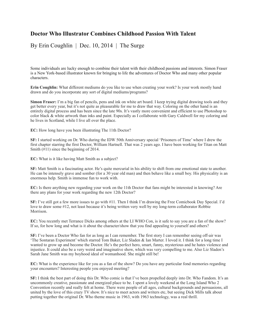## **Doctor Who Illustrator Combines Childhood Passion With Talent**

By Erin Coughlin | Dec. 10, 2014 | The Surge

Some individuals are lucky enough to combine their talent with their childhood passions and interests. Simon Fraser is a New York-based illustrator known for bringing to life the adventures of Doctor Who and many other popular characters.

**Erin Coughlin:** What different mediums do you like to use when creating your work? Is your work mostly hand drawn and do you incorporate any sort of digital mediums/programs?

**Simon Fraser:** I'm a big fan of pencils, pens and ink on white art board. I keep trying digital drawing tools and they get better every year, but it's not quite as pleasurable for me to draw that way. Coloring on the other hand is an entirely digital process and has been since the late 90s. It's vastly more convenient and efficient to use Photoshop to color black & white artwork than inks and paint. Especially as I collaborate with Gary Caldwell for my coloring and he lives in Scotland, while I live all over the place.

**EC:** How long have you been illustrating The 11th Doctor?

**SF:** I started working on Dr. Who during the IDW 50th Anniversary special 'Prisoners of Time' where I drew the first chapter starring the first Doctor, William Hartnell. That was 2 years ago. I have been working for Titan on Matt Smith (#11) since the beginning of 2014.

**EC:** What is it like having Matt Smith as a subject?

**SF:** Matt Smith is a fascinating actor. He's quite mercurial in his ability to shift from one emotional state to another. He can be intensely grave and somber (for a 30 year old man) and then behave like a small boy. His physicality is an enormous help. Smith is immense fun to work with.

**EC:** Is there anything new regarding your work on the 11th Doctor that fans might be interested in knowing? Are there any plans for your work regarding the new 12th Doctor?

**SF:** I've still got a few more issues to go with #11. Then I think I'm drawing the Free Comicbook Day Special. I'd love to draw some #12, not least because it's being written very well by my long-term collaborator Robbie Morrison.

**EC:** You recently met Terrance Dicks among others at the LI WHO Con, is it safe to say you are a fan of the show? If so, for how long and what is it about the character/show that you find appealing to yourself and others?

**SF:** I've been a Doctor Who fan for as long as I can remember. The first story I can remember seeing off-air was 'The Sontaran Experiment' which starred Tom Baker, Liz Sladen & Ian Marter. I loved it. I think for a long time I wanted to grow up and become the Doctor. He's the perfect hero, smart, funny, mysterious and he hates violence and injustice. It could also be a very weird and imaginative show, which was very compelling to me. Also Liz Sladen's Sarah Jane Smith was my boyhood ideal of womanhood. She might still be!

**EC:** What is the experience like for you as a fan of the show? Do you have any particular fond memories regarding your encounters? Interesting people you enjoyed meeting?

**SF:** I think the best part of doing this Dr. Who comic is that I've been propelled deeply into Dr. Who Fandom. It's an uncommonly creative, passionate and energized place to be. I spent a lovely weekend at the Long Island Who 2 Convention recently and really felt at home. There were people of all ages, cultural backgrounds and persuasions, all united by the love of this crazy TV show. It's nice to meet actors and writers etc, but seeing Dick Mills talk about putting together the original Dr. Who theme music in 1963, with 1963 technology, was a real thrill.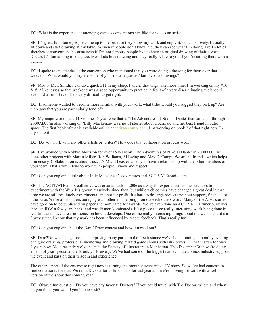**EC:** What is the experience of attending various conventions etc. like for you as an artist?

**SF:** It's great fun. Some people come up to me because they know my work and enjoy it, which is lovely. I usually sit down and start drawing at my table, so even if people don't know me, they can see what I'm doing. I sell a lot of sketches at conventions because even if I'm not famous, people like to have an original drawing of their favorite Doctor. It's fun talking to kids, too. Most kids love drawing and they really relate to you if you're sitting there with a pencil.

**EC:** I spoke to an attendee at the convention who mentioned that you were doing a drawing for them over that weekend. What would you say are some of your most requested/ fan favorite drawings?

**SF:** Mostly Matt Smith. I can do a quick #11 in my sleep. Fancier drawings take more time. I'm working on my #10 & #12 likenesses so that weekend was a good opportunity to practice in front of a very discriminating audience. I even did a Tom Baker. He's very difficult to get right.

**EC:** If someone wanted to become more familiar with your work, what titles would you suggest they pick up? Are there any that you are particularly fond of?

**SF:** My major work is the 11-volume 15-year epic that is 'The Adventures of Nikolai Dante' that came out through 2000AD. I'm also working on 'Lilly Mackenzie' a series of stories about a barmaid and her best friend in outer space. The first book of that is available online at activatecomix.com. I'm working on book 2 of that right now. In my spare time...ha.

**EC:** Do you work with any other artists or writers? How does that collaboration process work?

**SF:** I've worked with Robbie Morrison for over 15 years on 'The Adventures of Nikolai Dante' in 2000AD. I've done other projects with Martin Millar, Rob Williams, Al Ewing and Alex DeCampi. We are all friends, which helps immensely. Collaboration is about trust. It's MUCH easier when you have a relationship with the other members of your team. That's why I tend to work with people I know and respect.

**EC:** Can you explain a little about Lilly Mackenzie's adventures and ACTIVATEcomix.com?

**SF:** The ACTIVATEcomix collective was created back in 2006 as a way for experienced comics creators to experiment with the Web. It's grown massively since then, but while web comics have changed a great deal in that time we are still resolutely experimental and not for profit. It's hard to do large projects without support, financial or otherwise. We're all about encouraging each other and helping promote each others work. Many of the AIVs stories have gone on to be published on paper and nominated for awards. We've even done an ACTIVATE Primer ourselves through IDW a few years back (and was Eisner Nominated). It's a place to see really interesting work being done in real time and have a real influence on how it develops. One of the really interesting things about the web is that it's a 2 way street. I know that my work has been influenced by reader feedback. That's really fun.

**EC:** Can you explain about the Dare2Draw contest and how it turned out?

**SF:** Dare2Draw is a huge project comprising many parts. In the first instance we've been running a monthly evening of figure drawing, professional mentoring and drawing related game show (with BIG prizes!) in Manhattan for over 4 years now. Most recently we've been at the Society of Illustrators in Manhattan. This December 30th we're doing an end of year special at the Brooklyn Brewery. We've had some of the biggest names in the comics industry support the event and pass on their wisdom and experience.

The other aspect of the enterprise right now is turning the monthly event into a TV show. So we've had contests to find contestants for that. We ran a Kickstarter to fund our Pilot last year and we're moving forward with a web version of the show this coming year.

**EC:** Okay, a fun question. Do you have any favorite Doctors? If you could travel with The Doctor, where and when do you think you would you like to visit?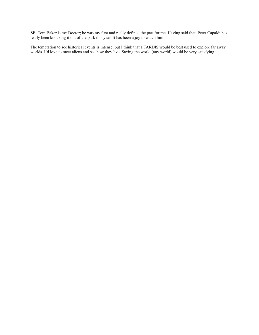**SF:** Tom Baker is my Doctor; he was my first and really defined the part for me. Having said that, Peter Capaldi has really been knocking it out of the park this year. It has been a joy to watch him.

The temptation to see historical events is intense, but I think that a TARDIS would be best used to explore far away worlds. I'd love to meet aliens and see how they live. Saving the world (any world) would be very satisfying.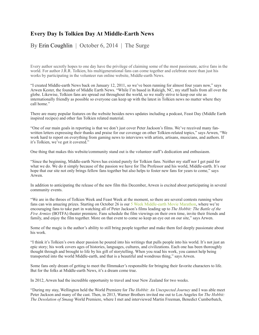## **Every Day Is Tolkien Day At Middle-Earth News**

By Erin Coughlin| October 6, 2014 | The Surge

Every author secretly hopes to one day have the privilege of claiming some of the most passionate, active fans in the world. For author J.R.R. Tolkien, his multigenerational fans can come together and celebrate more than just his works by participating in the volunteer run online website, Middle-earth News.

"I created Middle-earth News back on January 12, 2011, so we've been running for almost four years now," says Arwen Kester, the founder of Middle Earth News. "While I'm based in Raleigh, NC, my staff hails from all over the globe. Likewise, Tolkien fans are spread out throughout the world, so we really strive to keep our site as internationally friendly as possible so everyone can keep up with the latest in Tolkien news no matter where they call home."

There are many popular features on the website besides news updates including a podcast, Feast Day (Middle Earth inspired recipes) and other fun Tolkien related material.

"One of our main goals in reporting is that we don't just cover Peter Jackson's films. We've received many fanwritten letters expressing their thanks and praise for our coverage on other Tolkien-related topics," says Arwen, "We work hard to report on everything from gaming news to interviews with artists, artisans, musicians, and authors. If it's Tolkien, we've got it covered."

One thing that makes this website/community stand out is the volunteer staff's dedication and enthusiasm.

"Since the beginning, Middle-earth News has existed purely for Tolkien fans. Neither my staff nor I get paid for what we do. We do it simply because of the passion we have for The Professor and his world, Middle-earth. It's our hope that our site not only brings fellow fans together but also helps to foster new fans for years to come," says Arwen.

In addition to anticipating the release of the new film this December, Arwen is excited about participating in several community events.

"We are in the throes of Tolkien Week and Feast Week at the moment, so there are several contests running where fans can win amazing prizes. Starting on October 26 is our 5 Week Middle-earth Movie Marathon, where we're encouraging fans to take part in watching all of Peter Jackson's films leading up to *The Hobbit: The Battle of the Five Armies* (BOTFA) theater premiere. Fans schedule the film viewings on their own time, invite their friends and family, and enjoy the film together. More on that event to come so keep an eye out on our site," says Arwen.

Some of the magic is the author's ability to still bring people together and make them feel deeply passionate about his work.

"I think it's Tolkien's own sheer passion he poured into his writings that pulls people into his world. It's not just an epic story; his work covers ages of histories, languages, cultures, and civilizations. Each one has been thoroughly thought through and brought to life by his gift of storytelling. When you read his work, you cannot help being transported into the world Middle-earth, and that is a beautiful and wondrous thing," says Arwen.

Some fans only dream of getting to meet the filmmaker's responsible for bringing their favorite characters to life. But for the folks at Middle-earth News, it's a dream come true.

In 2012, Arwen had the incredible opportunity to travel and tour New Zealand for two weeks.

"During my stay, Wellington held the World Premiere for *The Hobbit: An Unexpected Journey* and I was able meet Peter Jackson and many of the cast. Then, in 2013, Warner Brothers invited me out to Los Angeles for *The Hobbit: The Desolation of Smaug* World Premiere, where I met and interviewed Martin Freeman, Benedict Cumberbatch,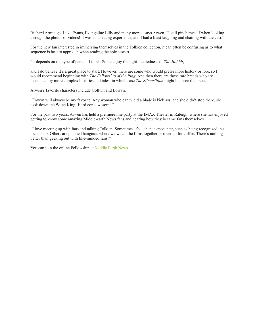Richard Armitage, Luke Evans, Evangeline Lilly and many more," says Arwen, "I still pinch myself when looking through the photos or videos! It was an amazing experience, and I had a blast laughing and chatting with the cast."

For the new fan interested in immersing themselves in the Tolkien collection, it can often be confusing as to what sequence is best to approach when reading the epic stories.

"It depends on the type of person, I think. Some enjoy the light-heartedness of *The Hobbit*,

and I do believe it's a great place to start. However, there are some who would prefer more history or lore, so I would recommend beginning with *The Fellowship of the Ring*. And then there are those rare breeds who are fascinated by more complex histories and tales, in which case *The Silmarillion* might be more their speed."

Arwen's favorite characters include Gollum and Eowyn.

"Eowyn will always be my favorite. Any woman who can wield a blade is kick ass, and she didn't stop there, she took down the Witch King! Hard core awesome."

For the past two years, Arwen has held a premiere line party at the IMAX Theater in Raleigh, where she has enjoyed getting to know some amazing Middle-earth News fans and hearing how they became fans themselves.

"I love meeting up with fans and talking Tolkien. Sometimes it's a chance encounter, such as being recognized in a local shop. Others are planned hangouts where we watch the films together or meet up for coffee. There's nothing better than geeking out with like-minded fans!"

You can join the online Fellowship at Middle Earth News.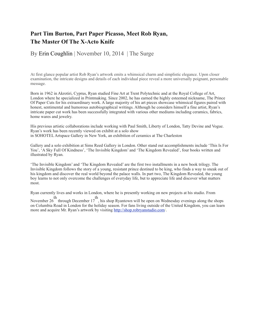## **Part Tim Burton, Part Paper Picasso, Meet Rob Ryan, The Master Of The X-Acto Knife**

By Erin Coughlin | November 10, 2014 | The Surge

At first glance popular artist Rob Ryan's artwork emits a whimsical charm and simplistic elegance. Upon closer examination, the intricate designs and details of each individual piece reveal a more universally poignant, personable message.

Born in 1962 in Akrotiri, Cyprus, Ryan studied Fine Art at Trent Polytechnic and at the Royal College of Art, London where he specialized in Printmaking. Since 2002, he has earned the highly esteemed nickname, The Prince Of Paper Cuts for his extraordinary work. A large majority of his art pieces showcase whimsical figures paired with honest, sentimental and humorous autobiographical writings. Although he considers himself a fine artist, Ryan's intricate paper cut work has been successfully integrated with various other mediums including ceramics, fabrics, home wares and jewelry.

His previous artistic collaborations include working with Paul Smith, Liberty of London, Tatty Devine and Vogue. Ryan's work has been recently viewed on exhibit at a solo show in SOHOTEL Artspace Gallery in New York, an exhibition of ceramics at The Charleston

Gallery and a solo exhibition at Sims Reed Gallery in London. Other stand out accomplishments include 'This Is For You', 'A Sky Full Of Kindness', 'The Invisible Kingdom' and 'The Kingdom Revealed', four books written and illustrated by Ryan.

'The Invisible Kingdom' and 'The Kingdom Revealed' are the first two installments in a new book trilogy. The Invisible Kingdom follows the story of a young, resistant prince destined to be king, who finds a way to sneak out of his kingdom and discover the real world beyond the palace walls. In part two, The Kingdom Revealed, the young boy learns to not only overcome the challenges of everyday life, but to appreciate life and discover what matters most.

Ryan currently lives and works in London, where he is presently working on new projects at his studio. From

November 26 th through December 17 th , his shop Ryantown will be open on Wednesday evenings along the shops on Columbia Road in London for the holiday season. For fans living outside of the United Kingdom, you can learn more and acquire Mr. Ryan's artwork by visiting [http://shop.robryanstudio.com/](http://shop.robryanstudio.com).